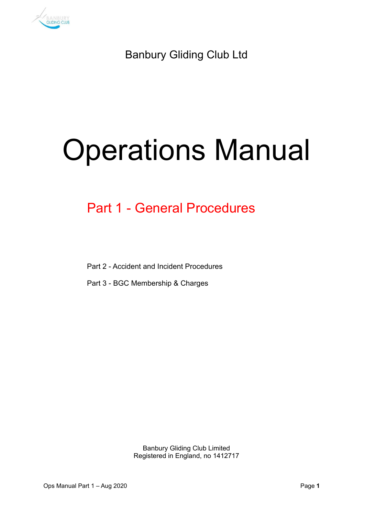

Banbury Gliding Club Ltd

# Operations Manual

# Part 1 - General Procedures

Part 2 - Accident and Incident Procedures

Part 3 - BGC Membership & Charges

Banbury Gliding Club Limited Registered in England, no 1412717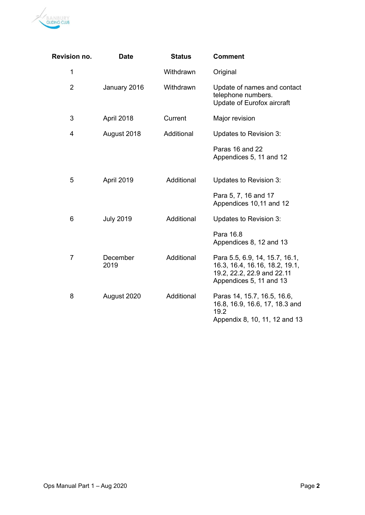

| <b>Revision no.</b> | <b>Date</b>      | <b>Status</b> | <b>Comment</b>                                                                                                            |
|---------------------|------------------|---------------|---------------------------------------------------------------------------------------------------------------------------|
| 1                   |                  | Withdrawn     | Original                                                                                                                  |
| $\overline{2}$      | January 2016     | Withdrawn     | Update of names and contact<br>telephone numbers.<br>Update of Eurofox aircraft                                           |
| 3                   | April 2018       | Current       | Major revision                                                                                                            |
| 4                   | August 2018      | Additional    | Updates to Revision 3:                                                                                                    |
|                     |                  |               | Paras 16 and 22<br>Appendices 5, 11 and 12                                                                                |
| 5                   | April 2019       | Additional    | Updates to Revision 3:                                                                                                    |
|                     |                  |               | Para 5, 7, 16 and 17<br>Appendices 10,11 and 12                                                                           |
| 6                   | <b>July 2019</b> | Additional    | Updates to Revision 3:                                                                                                    |
|                     |                  |               | Para 16.8<br>Appendices 8, 12 and 13                                                                                      |
| $\overline{7}$      | December<br>2019 | Additional    | Para 5.5, 6.9, 14, 15.7, 16.1,<br>16.3, 16.4, 16.16, 18.2, 19.1,<br>19.2, 22.2, 22.9 and 22.11<br>Appendices 5, 11 and 13 |
| 8                   | August 2020      | Additional    | Paras 14, 15.7, 16.5, 16.6,<br>16.8, 16.9, 16.6, 17, 18.3 and<br>19.2<br>Appendix 8, 10, 11, 12 and 13                    |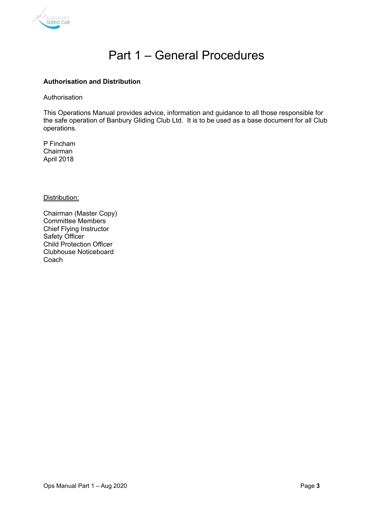

# Part 1 – General Procedures

# <span id="page-2-0"></span>**Authorisation and Distribution**

Authorisation

This Operations Manual provides advice, information and guidance to all those responsible for the safe operation of Banbury Gliding Club Ltd. It is to be used as a base document for all Club operations.

P Fincham Chairman April 2018

Distribution:

Chairman (Master Copy) Committee Members Chief Flying Instructor Safety Officer Child Protection Officer Clubhouse Noticeboard Coach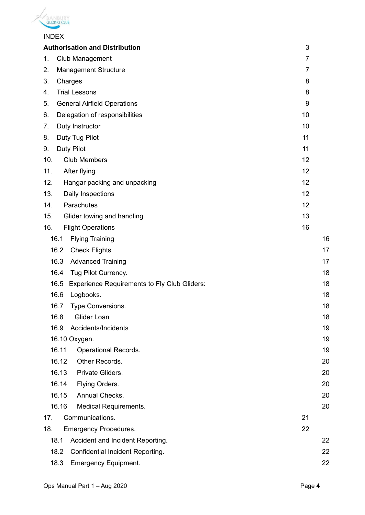

# INDEX

| <b>Authorisation and Distribution</b>                       | 3  |
|-------------------------------------------------------------|----|
| Club Management<br>1.                                       | 7  |
| <b>Management Structure</b><br>2.                           | 7  |
| 3.<br>Charges                                               | 8  |
| <b>Trial Lessons</b><br>4.                                  | 8  |
| <b>General Airfield Operations</b><br>5.                    | 9  |
| Delegation of responsibilities<br>6.                        | 10 |
| Duty Instructor<br>7.                                       | 10 |
| Duty Tug Pilot<br>8.                                        | 11 |
| <b>Duty Pilot</b><br>9.                                     | 11 |
| 10.<br><b>Club Members</b>                                  | 12 |
| 11.<br>After flying                                         | 12 |
| 12.<br>Hangar packing and unpacking                         | 12 |
| 13.<br>Daily Inspections                                    | 12 |
| Parachutes<br>14.                                           | 12 |
| 15.<br>Glider towing and handling                           | 13 |
| 16.<br><b>Flight Operations</b>                             | 16 |
| 16.1<br><b>Flying Training</b>                              | 16 |
| 16.2<br><b>Check Flights</b>                                | 17 |
| 16.3<br><b>Advanced Training</b>                            | 17 |
| 16.4<br>Tug Pilot Currency.                                 | 18 |
| 16.5<br><b>Experience Requirements to Fly Club Gliders:</b> | 18 |
| 16.6<br>Logbooks.                                           | 18 |
| 16.7<br>Type Conversions.                                   | 18 |
| 16.8<br>Glider Loan                                         | 18 |
| 16.9<br>Accidents/Incidents                                 | 19 |
| 16.10 Oxygen.                                               | 19 |
| 16.11<br><b>Operational Records.</b>                        | 19 |
| 16.12<br>Other Records.                                     | 20 |
| 16.13<br>Private Gliders.                                   | 20 |
| 16.14<br>Flying Orders.                                     | 20 |
| 16.15<br>Annual Checks.                                     | 20 |
| 16.16<br><b>Medical Requirements.</b>                       | 20 |
| Communications.<br>17.                                      | 21 |
| 18.<br><b>Emergency Procedures.</b>                         | 22 |
| 18.1<br>Accident and Incident Reporting.                    | 22 |
| 18.2<br>Confidential Incident Reporting.                    | 22 |
| 18.3<br><b>Emergency Equipment.</b>                         | 22 |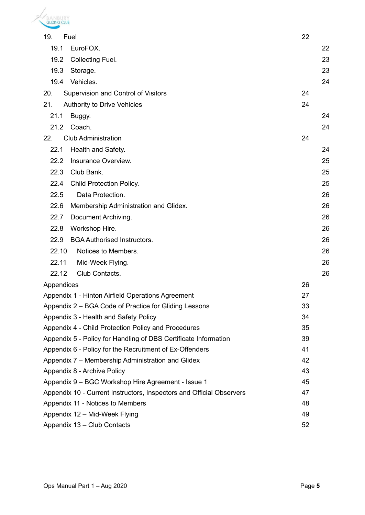

| 19.        | Fuel                                                                 | 22       |
|------------|----------------------------------------------------------------------|----------|
| 19.1       | EuroFOX.                                                             | 22       |
| 19.2       | Collecting Fuel.                                                     | 23       |
| 19.3       | Storage.                                                             | 23       |
| 19.4       | Vehicles.                                                            | 24       |
| 20.        | Supervision and Control of Visitors                                  | 24       |
| 21.        | <b>Authority to Drive Vehicles</b>                                   | 24       |
| 21.1       | Buggy.                                                               | 24       |
| 21.2       | Coach.                                                               | 24       |
| 22.        | <b>Club Administration</b>                                           | 24       |
| 22.1       | Health and Safety.                                                   | 24       |
| 22.2       | Insurance Overview.                                                  | 25       |
| 22.3       | Club Bank.                                                           | 25       |
| 22.4       | Child Protection Policy.                                             | 25       |
| 22.5       | Data Protection.                                                     | 26       |
| 22.6       | Membership Administration and Glidex.                                | 26       |
| 22.7       | Document Archiving.                                                  | 26       |
| 22.8       | Workshop Hire.                                                       | 26       |
| 22.9       | <b>BGA Authorised Instructors.</b>                                   | 26       |
| 22.10      | Notices to Members.                                                  | 26       |
| 22.11      | Mid-Week Flying.                                                     | 26       |
| 22.12      | Club Contacts.                                                       | 26       |
| Appendices |                                                                      | 26       |
|            | Appendix 1 - Hinton Airfield Operations Agreement                    | 27       |
|            | Appendix 2 - BGA Code of Practice for Gliding Lessons                | 33       |
|            | Appendix 3 - Health and Safety Policy                                | 34       |
|            | Appendix 4 - Child Protection Policy and Procedures                  | 35       |
|            | Appendix 5 - Policy for Handling of DBS Certificate Information      | 39       |
|            | Appendix 6 - Policy for the Recruitment of Ex-Offenders              | 41       |
|            | Appendix 7 - Membership Administration and Glidex                    | 42       |
|            | Appendix 8 - Archive Policy                                          | 43       |
|            | Appendix 9 - BGC Workshop Hire Agreement - Issue 1                   | 45       |
|            | Appendix 10 - Current Instructors, Inspectors and Official Observers | 47       |
|            | Appendix 11 - Notices to Members<br>Appendix 12 - Mid-Week Flying    | 48<br>49 |
|            | Appendix 13 - Club Contacts                                          | 52       |
|            |                                                                      |          |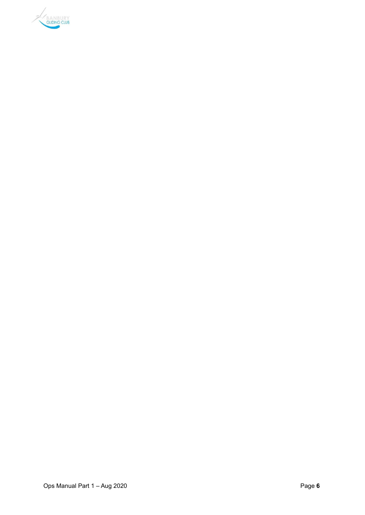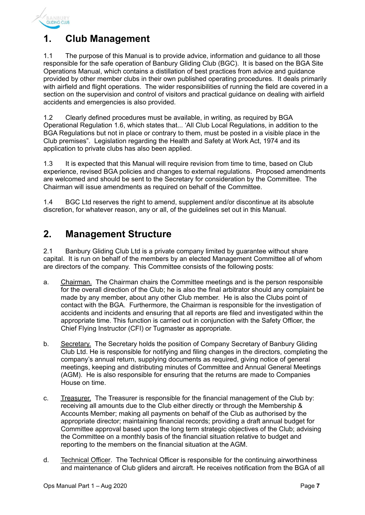

# <span id="page-6-0"></span>**1. Club Management**

1.1 The purpose of this Manual is to provide advice, information and guidance to all those responsible for the safe operation of Banbury Gliding Club (BGC). It is based on the BGA Site Operations Manual, which contains a distillation of best practices from advice and guidance provided by other member clubs in their own published operating procedures. It deals primarily with airfield and flight operations. The wider responsibilities of running the field are covered in a section on the supervision and control of visitors and practical guidance on dealing with airfield accidents and emergencies is also provided.

1.2 Clearly defined procedures must be available, in writing, as required by BGA Operational Regulation 1.6, which states that... 'All Club Local Regulations, in addition to the BGA Regulations but not in place or contrary to them, must be posted in a visible place in the Club premises". Legislation regarding the Health and Safety at Work Act, 1974 and its application to private clubs has also been applied.

1.3 It is expected that this Manual will require revision from time to time, based on Club experience, revised BGA policies and changes to external regulations. Proposed amendments are welcomed and should be sent to the Secretary for consideration by the Committee. The Chairman will issue amendments as required on behalf of the Committee.

1.4 BGC Ltd reserves the right to amend, supplement and/or discontinue at its absolute discretion, for whatever reason, any or all, of the guidelines set out in this Manual.

# <span id="page-6-1"></span>**2. Management Structure**

2.1 Banbury Gliding Club Ltd is a private company limited by guarantee without share capital. It is run on behalf of the members by an elected Management Committee all of whom are directors of the company. This Committee consists of the following posts:

- a. Chairman. The Chairman chairs the Committee meetings and is the person responsible for the overall direction of the Club; he is also the final arbitrator should any complaint be made by any member, about any other Club member. He is also the Clubs point of contact with the BGA. Furthermore, the Chairman is responsible for the investigation of accidents and incidents and ensuring that all reports are filed and investigated within the appropriate time. This function is carried out in conjunction with the Safety Officer, the Chief Flying Instructor (CFI) or Tugmaster as appropriate.
- b. Secretary. The Secretary holds the position of Company Secretary of Banbury Gliding Club Ltd. He is responsible for notifying and filing changes in the directors, completing the company's annual return, supplying documents as required, giving notice of general meetings, keeping and distributing minutes of Committee and Annual General Meetings (AGM). He is also responsible for ensuring that the returns are made to Companies House on time.
- c. Treasurer. The Treasurer is responsible for the financial management of the Club by: receiving all amounts due to the Club either directly or through the Membership & Accounts Member; making all payments on behalf of the Club as authorised by the appropriate director; maintaining financial records; providing a draft annual budget for Committee approval based upon the long term strategic objectives of the Club; advising the Committee on a monthly basis of the financial situation relative to budget and reporting to the members on the financial situation at the AGM.
- d. Technical Officer. The Technical Officer is responsible for the continuing airworthiness and maintenance of Club gliders and aircraft. He receives notification from the BGA of all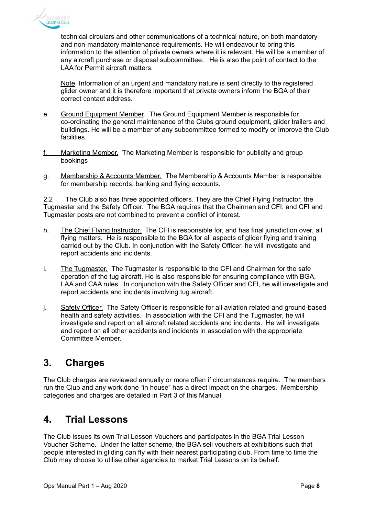

technical circulars and other communications of a technical nature, on both mandatory and non-mandatory maintenance requirements. He will endeavour to bring this information to the attention of private owners where it is relevant. He will be a member of any aircraft purchase or disposal subcommittee. He is also the point of contact to the LAA for Permit aircraft matters.

Note. Information of an urgent and mandatory nature is sent directly to the registered glider owner and it is therefore important that private owners inform the BGA of their correct contact address.

- e. Ground Equipment Member. The Ground Equipment Member is responsible for co-ordinating the general maintenance of the Clubs ground equipment, glider trailers and buildings. He will be a member of any subcommittee formed to modify or improve the Club facilities.
- f. Marketing Member. The Marketing Member is responsible for publicity and group bookings
- g. Membership & Accounts Member. The Membership & Accounts Member is responsible for membership records, banking and flying accounts.

2.2 The Club also has three appointed officers. They are the Chief Flying Instructor, the Tugmaster and the Safety Officer. The BGA requires that the Chairman and CFI, and CFI and Tugmaster posts are not combined to prevent a conflict of interest.

- h. The Chief Flying Instructor. The CFI is responsible for, and has final jurisdiction over, all flying matters. He is responsible to the BGA for all aspects of glider flying and training carried out by the Club. In conjunction with the Safety Officer, he will investigate and report accidents and incidents.
- i. The Tugmaster. The Tugmaster is responsible to the CFI and Chairman for the safe operation of the tug aircraft. He is also responsible for ensuring compliance with BGA, LAA and CAA rules. In conjunction with the Safety Officer and CFI, he will investigate and report accidents and incidents involving tug aircraft.
- j. Safety Officer. The Safety Officer is responsible for all aviation related and ground-based health and safety activities. In association with the CFI and the Tugmaster, he will investigate and report on all aircraft related accidents and incidents. He will investigate and report on all other accidents and incidents in association with the appropriate Committee Member.

# <span id="page-7-0"></span>**3. Charges**

The Club charges are reviewed annually or more often if circumstances require. The members run the Club and any work done "in house" has a direct impact on the charges. Membership categories and charges are detailed in Part 3 of this Manual.

# <span id="page-7-1"></span>**4. Trial Lessons**

The Club issues its own Trial Lesson Vouchers and participates in the BGA Trial Lesson Voucher Scheme. Under the latter scheme, the BGA sell vouchers at exhibitions such that people interested in gliding can fly with their nearest participating club. From time to time the Club may choose to utilise other agencies to market Trial Lessons on its behalf.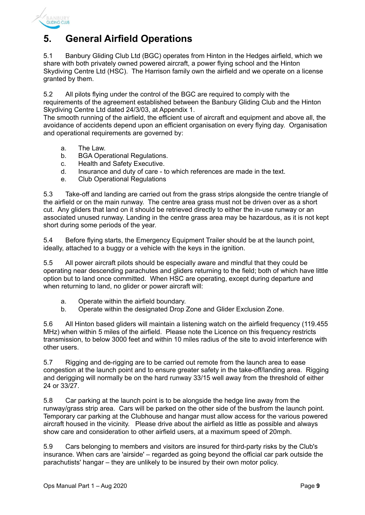

# <span id="page-8-0"></span>**5. General Airfield Operations**

5.1 Banbury Gliding Club Ltd (BGC) operates from Hinton in the Hedges airfield, which we share with both privately owned powered aircraft, a power flying school and the Hinton Skydiving Centre Ltd (HSC). The Harrison family own the airfield and we operate on a license granted by them.

5.2 All pilots flying under the control of the BGC are required to comply with the requirements of the agreement established between the Banbury Gliding Club and the Hinton Skydiving Centre Ltd dated 24/3/03, at Appendix 1.

The smooth running of the airfield, the efficient use of aircraft and equipment and above all, the avoidance of accidents depend upon an efficient organisation on every flying day. Organisation and operational requirements are governed by:

- a. The Law.
- b. BGA Operational Regulations.
- c. Health and Safety Executive.
- d. Insurance and duty of care to which references are made in the text.
- e. Club Operational Regulations

5.3 Take-off and landing are carried out from the grass strips alongside the centre triangle of the airfield or on the main runway. The centre area grass must not be driven over as a short cut. Any gliders that land on it should be retrieved directly to either the in-use runway or an associated unused runway. Landing in the centre grass area may be hazardous, as it is not kept short during some periods of the year.

5.4 Before flying starts, the Emergency Equipment Trailer should be at the launch point, ideally, attached to a buggy or a vehicle with the keys in the ignition.

5.5 All power aircraft pilots should be especially aware and mindful that they could be operating near descending parachutes and gliders returning to the field; both of which have little option but to land once committed. When HSC are operating, except during departure and when returning to land, no glider or power aircraft will:

- a. Operate within the airfield boundary.
- b. Operate within the designated Drop Zone and Glider Exclusion Zone.

5.6 All Hinton based gliders will maintain a listening watch on the airfield frequency (119.455 MHz) when within 5 miles of the airfield. Please note the Licence on this frequency restricts transmission, to below 3000 feet and within 10 miles radius of the site to avoid interference with other users.

5.7 Rigging and de-rigging are to be carried out remote from the launch area to ease congestion at the launch point and to ensure greater safety in the take-off/landing area. Rigging and derigging will normally be on the hard runway 33/15 well away from the threshold of either 24 or 33/27.

5.8 Car parking at the launch point is to be alongside the hedge line away from the runway/grass strip area. Cars will be parked on the other side of the busfrom the launch point. Temporary car parking at the Clubhouse and hangar must allow access for the various powered aircraft housed in the vicinity. Please drive about the airfield as little as possible and always show care and consideration to other airfield users, at a maximum speed of 20mph.

5.9 Cars belonging to members and visitors are insured for third-party risks by the Club's insurance. When cars are 'airside' – regarded as going beyond the official car park outside the parachutists' hangar – they are unlikely to be insured by their own motor policy.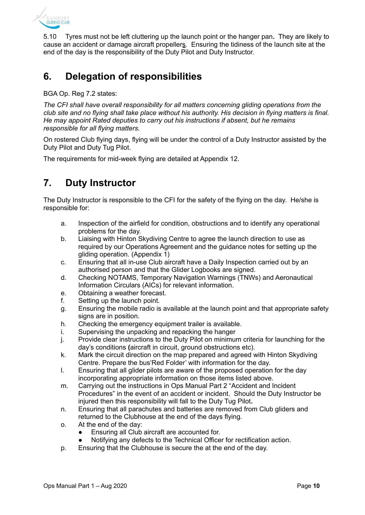

5.10 Tyres must not be left cluttering up the launch point or the hanger pan**.** They are likely to cause an accident or damage aircraft propellers. Ensuring the tidiness of the launch site at the end of the day is the responsibility of the Duty Pilot and Duty Instructor.

# <span id="page-9-0"></span>**6. Delegation of responsibilities**

BGA Op. Reg 7.2 states:

*The CFI shall have overall responsibility for all matters concerning gliding operations from the* club site and no flying shall take place without his authority. His decision in flying matters is final. *He may appoint Rated deputies to carry out his instructions if absent, but he remains responsible for all flying matters.*

On rostered Club flying days, flying will be under the control of a Duty Instructor assisted by the Duty Pilot and Duty Tug Pilot.

<span id="page-9-1"></span>The requirements for mid-week flying are detailed at Appendix 12.

# **7. Duty Instructor**

The Duty Instructor is responsible to the CFI for the safety of the flying on the day. He/she is responsible for:

- a. Inspection of the airfield for condition, obstructions and to identify any operational problems for the day.
- b. Liaising with Hinton Skydiving Centre to agree the launch direction to use as required by our Operations Agreement and the guidance notes for setting up the gliding operation. (Appendix 1)
- c. Ensuring that all in-use Club aircraft have a Daily Inspection carried out by an authorised person and that the Glider Logbooks are signed.
- d. Checking NOTAMS, Temporary Navigation Warnings (TNWs) and Aeronautical Information Circulars (AICs) for relevant information.
- e. Obtaining a weather forecast.
- f. Setting up the launch point.
- g. Ensuring the mobile radio is available at the launch point and that appropriate safety signs are in position.
- h. Checking the emergency equipment trailer is available.
- i. Supervising the unpacking and repacking the hanger
- j. Provide clear instructions to the Duty Pilot on minimum criteria for launching for the day's conditions **(**aircraft in circuit, ground obstructions etc).
- k. Mark the circuit direction on the map prepared and agreed with Hinton Skydiving Centre. Prepare the bus'Red Folder' with information for the day.
- l. Ensuring that all glider pilots are aware of the proposed operation for the day incorporating appropriate information on those items listed above.
- m. Carrying out the instructions in Ops Manual Part 2 "Accident and Incident Procedures" in the event of an accident or incident. Should the Duty Instructor be injured then this responsibility will fall to the Duty Tug Pilot**.**
- n. Ensuring that all parachutes and batteries are removed from Club gliders and returned to the Clubhouse at the end of the days flying.
- o. At the end of the day:
	- Ensuring all Club aircraft are accounted for.
	- Notifying any defects to the Technical Officer for rectification action.
- p. Ensuring that the Clubhouse is secure the at the end of the day.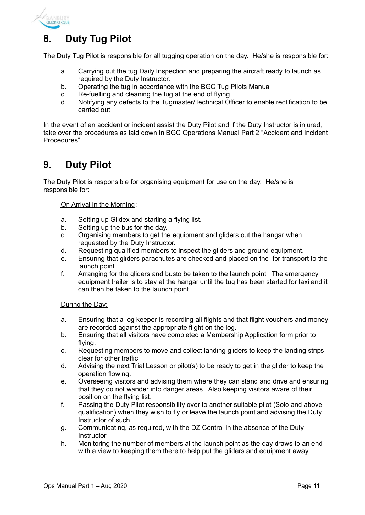

# <span id="page-10-0"></span>**8. Duty Tug Pilot**

The Duty Tug Pilot is responsible for all tugging operation on the day. He/she is responsible for:

- a. Carrying out the tug Daily Inspection and preparing the aircraft ready to launch as required by the Duty Instructor.
- b. Operating the tug in accordance with the BGC Tug Pilots Manual.
- c. Re-fuelling and cleaning the tug at the end of flying.
- d. Notifying any defects to the Tugmaster/Technical Officer to enable rectification to be carried out.

In the event of an accident or incident assist the Duty Pilot and if the Duty Instructor is injured, take over the procedures as laid down in BGC Operations Manual Part 2 "Accident and Incident Procedures".

# <span id="page-10-1"></span>**9. Duty Pilot**

The Duty Pilot is responsible for organising equipment for use on the day. He/she is responsible for:

# On Arrival in the Morning:

- a. Setting up Glidex and starting a flying list.
- b. Setting up the bus for the day.
- c. Organising members to get the equipment and gliders out the hangar when requested by the Duty Instructor.
- d. Requesting qualified members to inspect the gliders and ground equipment.
- e. Ensuring that gliders parachutes are checked and placed on the for transport to the launch point.
- f. Arranging for the gliders and busto be taken to the launch point. The emergency equipment trailer is to stay at the hangar until the tug has been started for taxi and it can then be taken to the launch point.

During the Day:

- a. Ensuring that a log keeper is recording all flights and that flight vouchers and money are recorded against the appropriate flight on the log.
- b. Ensuring that all visitors have completed a Membership Application form prior to flying.
- c. Requesting members to move and collect landing gliders to keep the landing strips clear for other traffic
- d. Advising the next Trial Lesson or pilot(s) to be ready to get in the glider to keep the operation flowing.
- e. Overseeing visitors and advising them where they can stand and drive and ensuring that they do not wander into danger areas. Also keeping visitors aware of their position on the flying list.
- f. Passing the Duty Pilot responsibility over to another suitable pilot (Solo and above qualification) when they wish to fly or leave the launch point and advising the Duty Instructor of such.
- g. Communicating, as required, with the DZ Control in the absence of the Duty Instructor.
- h. Monitoring the number of members at the launch point as the day draws to an end with a view to keeping them there to help put the gliders and equipment away.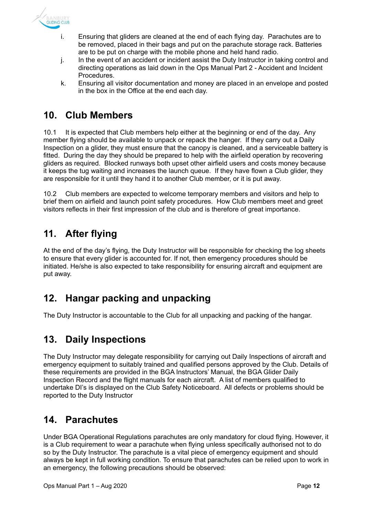

- i. Ensuring that gliders are cleaned at the end of each flying day. Parachutes are to be removed, placed in their bags and put on the parachute storage rack. Batteries are to be put on charge with the mobile phone and held hand radio.
- j. In the event of an accident or incident assist the Duty Instructor in taking control and directing operations as laid down in the Ops Manual Part 2 - Accident and Incident Procedures.
- k. Ensuring all visitor documentation and money are placed in an envelope and posted in the box in the Office at the end each day.

# <span id="page-11-0"></span>**10. Club Members**

10.1 It is expected that Club members help either at the beginning or end of the day. Any member flying should be available to unpack or repack the hanger. If they carry out a Daily Inspection on a glider, they must ensure that the canopy is cleaned, and a serviceable battery is fitted. During the day they should be prepared to help with the airfield operation by recovering gliders as required. Blocked runways both upset other airfield users and costs money because it keeps the tug waiting and increases the launch queue. If they have flown a Club glider, they are responsible for it until they hand it to another Club member, or it is put away.

10.2 Club members are expected to welcome temporary members and visitors and help to brief them on airfield and launch point safety procedures. How Club members meet and greet visitors reflects in their first impression of the club and is therefore of great importance.

# <span id="page-11-1"></span>**11. After flying**

At the end of the day's flying, the Duty Instructor will be responsible for checking the log sheets to ensure that every glider is accounted for. If not, then emergency procedures should be initiated. He/she is also expected to take responsibility for ensuring aircraft and equipment are put away.

# <span id="page-11-2"></span>**12. Hangar packing and unpacking**

The Duty Instructor is accountable to the Club for all unpacking and packing of the hangar.

# <span id="page-11-3"></span>**13. Daily Inspections**

The Duty Instructor may delegate responsibility for carrying out Daily Inspections of aircraft and emergency equipment to suitably trained and qualified persons approved by the Club. Details of these requirements are provided in the BGA Instructors' Manual, the BGA Glider Daily Inspection Record and the flight manuals for each aircraft. A list of members qualified to undertake DI's is displayed on the Club Safety Noticeboard. All defects or problems should be reported to the Duty Instructor

# <span id="page-11-4"></span>**14. Parachutes**

Under BGA Operational Regulations parachutes are only mandatory for cloud flying. However, it is a Club requirement to wear a parachute when flying unless specifically authorised not to do so by the Duty Instructor. The parachute is a vital piece of emergency equipment and should always be kept in full working condition. To ensure that parachutes can be relied upon to work in an emergency, the following precautions should be observed: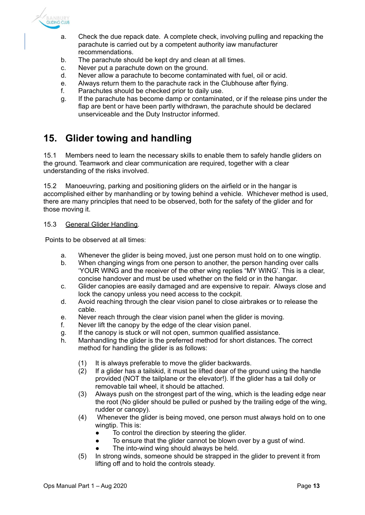

- a. Check the due repack date. A complete check, involving pulling and repacking the parachute is carried out by a competent authority iaw manufacturer recommendations.
- b. The parachute should be kept dry and clean at all times.
- c. Never put a parachute down on the ground.
- d. Never allow a parachute to become contaminated with fuel, oil or acid.
- e. Always return them to the parachute rack in the Clubhouse after flying.
- f. Parachutes should be checked prior to daily use.
- g. If the parachute has become damp or contaminated, or if the release pins under the flap are bent or have been partly withdrawn, the parachute should be declared unserviceable and the Duty Instructor informed.

# <span id="page-12-0"></span>**15. Glider towing and handling**

15.1 Members need to learn the necessary skills to enable them to safely handle gliders on the ground. Teamwork and clear communication are required, together with a clear understanding of the risks involved.

15.2 Manoeuvring, parking and positioning gliders on the airfield or in the hangar is accomplished either by manhandling or by towing behind a vehicle. Whichever method is used, there are many principles that need to be observed, both for the safety of the glider and for those moving it.

# 15.3 General Glider Handling.

Points to be observed at all times:

- a. Whenever the glider is being moved, just one person must hold on to one wingtip.
- b. When changing wings from one person to another, the person handing over calls 'YOUR WlNG and the receiver of the other wing replies "MY WING'. This is a clear, concise handover and must be used whether on the field or in the hangar.
- c. Glider canopies are easily damaged and are expensive to repair. Always close and lock the canopy unless you need access to the cockpit.
- d. Avoid reaching through the clear vision panel to close airbrakes or to release the cable.
- e. Never reach through the clear vision panel when the glider is moving.
- f. Never lift the canopy by the edge of the clear vision panel.
- g. If the canopy is stuck or will not open, summon qualified assistance.
- h. Manhandling the glider is the preferred method for short distances. The correct method for handling the glider is as follows:
	- (1) It is always preferable to move the glider backwards.
	- (2) If a glider has a tailskid, it must be lifted dear of the ground using the handle provided (NOT the tailplane or the elevator!). If the glider has a tail dolly or removable tail wheel, it should be attached.
	- (3) Always push on the strongest part of the wing, which is the leading edge near the root (No glider should be pulled or pushed by the trailing edge of the wing, rudder or canopy).
	- (4) Whenever the glider is being moved, one person must always hold on to one wingtip. This is:
		- To control the direction by steering the glider.
		- To ensure that the glider cannot be blown over by a gust of wind.
		- The into-wind wing should always be held.
	- (5) In strong winds, someone should be strapped in the glider to prevent it from lifting off and to hold the controls steady.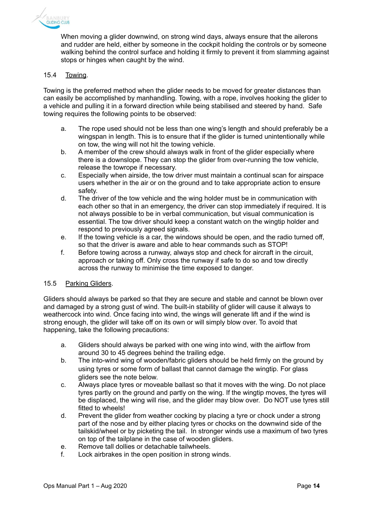

When moving a glider downwind, on strong wind days, always ensure that the ailerons and rudder are held, either by someone in the cockpit holding the controls or by someone walking behind the control surface and holding it firmly to prevent it from slamming against stops or hinges when caught by the wind.

# 15.4 Towing.

Towing is the preferred method when the glider needs to be moved for greater distances than can easily be accomplished by manhandling. Towing, with a rope, involves hooking the glider to a vehicle and pulling it in a forward direction while being stabilised and steered by hand. Safe towing requires the following points to be observed:

- a. The rope used should not be less than one wing's length and should preferably be a wingspan in length. This is to ensure that if the glider is turned unintentionally while on tow, the wing will not hit the towing vehicle.
- b. A member of the crew should always walk in front of the glider especially where there is a downslope. They can stop the glider from over-running the tow vehicle, release the towrope if necessary.
- c. Especially when airside, the tow driver must maintain a continual scan for airspace users whether in the air or on the ground and to take appropriate action to ensure safety.
- d. The driver of the tow vehicle and the wing holder must be in communication with each other so that in an emergency, the driver can stop immediately if required. It is not always possible to be in verbal communication, but visual communication is essential. The tow driver should keep a constant watch on the wingtip holder and respond to previously agreed signals.
- e. If the towing vehicle is a car, the windows should be open, and the radio turned off, so that the driver is aware and able to hear commands such as STOP!
- f. Before towing across a runway, always stop and check for aircraft in the circuit, approach or taking off. Only cross the runway if safe to do so and tow directly across the runway to minimise the time exposed to danger.

### 15.5 Parking Gliders.

Gliders should always be parked so that they are secure and stable and cannot be blown over and damaged by a strong gust of wind. The built-in stability of glider will cause it always to weathercock into wind. Once facing into wind, the wings will generate lift and if the wind is strong enough, the glider will take off on its own or will simply blow over. To avoid that happening, take the following precautions:

- a. Gliders should always be parked with one wing into wind, with the airflow from around 30 to 45 degrees behind the trailing edge.
- b. The into-wind wing of wooden/fabric gliders should be held firmly on the ground by using tyres or some form of ballast that cannot damage the wingtip. For glass gliders see the note below.
- c. Always place tyres or moveable ballast so that it moves with the wing. Do not place tyres partly on the ground and partly on the wing. If the wingtip moves, the tyres will be displaced, the wing will rise, and the glider may blow over. Do NOT use tyres still fitted to wheels!
- d. Prevent the glider from weather cocking by placing a tyre or chock under a strong part of the nose and by either placing tyres or chocks on the downwind side of the tailskid/wheel or by picketing the tail. In stronger winds use a maximum of two tyres on top of the tailplane in the case of wooden gliders.
- e. Remove tall dollies or detachable tailwheels.
- f. Lock airbrakes in the open position in strong winds.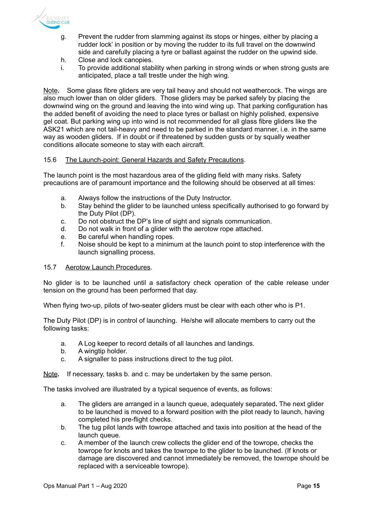

- g. Prevent the rudder from slamming against its stops or hinges, either by placing a rudder lock' in position or by moving the rudder to its full travel on the downwind side and carefully placing a tyre or ballast against the rudder on the upwind side.
- h. Close and lock canopies.
- i. To provide additional stability when parking in strong winds or when strong gusts are anticipated, place a tall trestle under the high wing.

Note**.** Some glass fibre gliders are very tail heavy and should not weathercock. The wings are also much lower than on older gliders. Those gliders may be parked safely by placing the downwind wing on the ground and leaving the into wind wing up. That parking configuration has the added benefit of avoiding the need to place tyres or ballast on highly polished, expensive gel coat. But parking wing up into wind is not recommended for all glass fibre gliders like the ASK21 which are not tail-heavy and need to be parked in the standard manner, i.e. in the same way as wooden gliders. If in doubt or if threatened by sudden gusts or by squally weather conditions allocate someone to stay with each aircraft.

# 15.6 The Launch-point: General Hazards and Safety Precautions.

The launch point is the most hazardous area of the gliding field with many risks. Safety precautions are of paramount importance and the following should be observed at all times:

- a. Always follow the instructions of the Duty Instructor.
- b. Stay behind the glider to be launched unless specifically authorised to go forward by the Duty Pilot (DP).
- c. Do not obstruct the DP's line of sight and signals communication.
- d. Do not walk in front of a glider with the aerotow rope attached.
- e. Be careful when handling ropes.
- f. Noise should be kept to a minimum at the launch point to stop interference with the launch signalling process.

### 15.7 Aerotow Launch Procedures.

No glider is to be launched until a satisfactory check operation of the cable release under tension on the ground has been performed that day.

When flying two-up, pilots of two-seater gliders must be clear with each other who is P1.

The Duty Pilot (DP) is in control of launching. He/she will allocate members to carry out the following tasks:

- a. A Log keeper to record details of all launches and landings.
- b. A wingtip holder.
- c. A signaller to pass instructions direct to the tug pilot.

Note**.** If necessary, tasks b. and c. may be undertaken by the same person.

The tasks involved are illustrated by a typical sequence of events, as follows:

- a. The gliders are arranged in a launch queue, adequately separated**.** The next glider to be launched is moved to a forward position with the pilot ready to launch, having completed his pre-flight checks.
- b. The tug pilot lands with towrope attached and taxis into position at the head of the launch queue.
- c. A member of the launch crew collects the glider end of the towrope, checks the towrope for knots and takes the towrope to the glider to be launched. (If knots or damage are discovered and cannot immediately be removed, the towrope should be replaced with a serviceable towrope).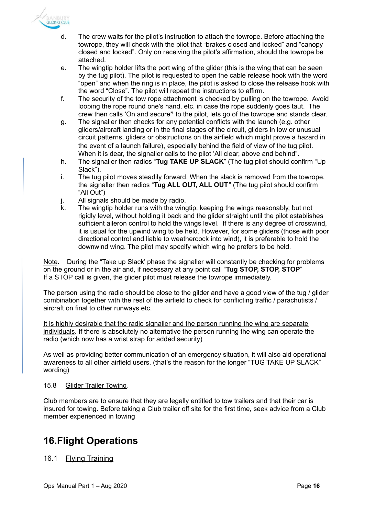

- d. The crew waits for the pilot's instruction to attach the towrope. Before attaching the towrope, they will check with the pilot that "brakes closed and locked" and "canopy closed and locked". Only on receiving the pilot's affirmation, should the towrope be attached.
- e. The wingtip holder lifts the port wing of the glider (this is the wing that can be seen by the tug pilot). The pilot is requested to open the cable release hook with the word "open" and when the ring is in place, the pilot is asked to close the release hook with the word "Close". The pilot will repeat the instructions to affirm.
- f. The security of the tow rope attachment is checked by pulling on the towrope. Avoid looping the rope round one's hand, etc. in case the rope suddenly goes taut. The crew then calls 'On and secure**"** to the pilot, lets go of the towrope and stands clear.
- g. The signaller then checks for any potential conflicts with the launch (e.g. other gliders/aircraft landing or in the final stages of the circuit, gliders in low or unusual circuit patterns, gliders or obstructions on the airfield which might prove a hazard in the event of a launch failure), especially behind the field of view of the tug pilot. When it is dear, the signaller calls to the pilot 'All clear, above and behind".
- h. The signaller then radios "**Tug TAKE UP SLACK**" (The tug pilot should confirm "Up Slack").
- i. The tug pilot moves steadily forward. When the slack is removed from the towrope, the signaller then radios "**Tug ALL OUT, ALL OUT**" (The tug pilot should confirm "All Out")
- j. All signals should be made by radio.
- k. The wingtip holder runs with the wingtip, keeping the wings reasonably, but not rigidly level, without holding it back and the glider straight until the pilot establishes sufficient aileron control to hold the wings level. If there is any degree of crosswind, it is usual for the upwind wing to be held. However, for some gliders (those with poor directional control and liable to weathercock into wind), it is preferable to hold the downwind wing. The pilot may specify which wing he prefers to be held.

Note**.** During the "Take up Slack' phase the signaller will constantly be checking for problems on the ground or in the air and, if necessary at any point call "**Tug STOP, STOP, STOP**" If a STOP call is given, the glider pilot must release the towrope immediately.

The person using the radio should be close to the gilder and have a good view of the tug / glider combination together with the rest of the airfield to check for conflicting traffic / parachutists / aircraft on final to other runways etc.

It is highly desirable that the radio signaller and the person running the wing are separate individuals. If there is absolutely no alternative the person running the wing can operate the radio (which now has a wrist strap for added security)

As well as providing better communication of an emergency situation, it will also aid operational awareness to all other airfield users. (that's the reason for the longer "TUG TAKE UP SLACK" wording)

# 15.8 Glider Trailer Towing.

Club members are to ensure that they are legally entitled to tow trailers and that their car is insured for towing. Before taking a Club trailer off site for the first time, seek advice from a Club member experienced in towing

# <span id="page-15-0"></span>**16.Flight Operations**

# <span id="page-15-1"></span>16.1 Flying Training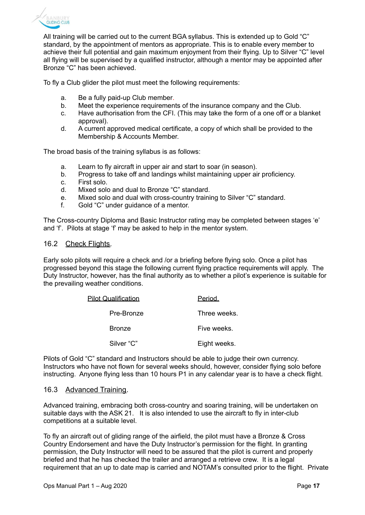

All training will be carried out to the current BGA syllabus. This is extended up to Gold "C" standard, by the appointment of mentors as appropriate. This is to enable every member to achieve their full potential and gain maximum enjoyment from their flying. Up to Silver "C" level all flying will be supervised by a qualified instructor, although a mentor may be appointed after Bronze "C" has been achieved.

To fly a Club glider the pilot must meet the following requirements:

- a. Be a fully paid-up Club member.
- b. Meet the experience requirements of the insurance company and the Club.
- c. Have authorisation from the CFI. (This may take the form of a one off or a blanket approval).
- d. A current approved medical certificate, a copy of which shall be provided to the Membership & Accounts Member.

The broad basis of the training syllabus is as follows:

- a. Learn to fly aircraft in upper air and start to soar (in season).
- b. Progress to take off and landings whilst maintaining upper air proficiency.
- c. First solo.
- d. Mixed solo and dual to Bronze "C" standard.
- e. Mixed solo and dual with cross-country training to Silver "C" standard.
- f. Gold "C" under guidance of a mentor.

The Cross-country Diploma and Basic Instructor rating may be completed between stages 'e' and 'f'. Pilots at stage 'f' may be asked to help in the mentor system.

### <span id="page-16-0"></span>16.2 Check Flights.

Early solo pilots will require a check and /or a briefing before flying solo. Once a pilot has progressed beyond this stage the following current flying practice requirements will apply. The Duty Instructor, however, has the final authority as to whether a pilot's experience is suitable for the prevailing weather conditions.

| <b>Pilot Qualification</b> | Period.      |
|----------------------------|--------------|
| Pre-Bronze                 | Three weeks. |
| <b>Bronze</b>              | Five weeks.  |
| Silver "C"                 | Eight weeks. |

Pilots of Gold "C" standard and Instructors should be able to judge their own currency. Instructors who have not flown for several weeks should, however, consider flying solo before instructing. Anyone flying less than 10 hours P1 in any calendar year is to have a check flight.

# <span id="page-16-1"></span>16.3 Advanced Training.

Advanced training, embracing both cross-country and soaring training, will be undertaken on suitable days with the ASK 21. It is also intended to use the aircraft to fly in inter-club competitions at a suitable level.

To fly an aircraft out of gliding range of the airfield, the pilot must have a Bronze & Cross Country Endorsement and have the Duty Instructor's permission for the flight. In granting permission, the Duty Instructor will need to be assured that the pilot is current and properly briefed and that he has checked the trailer and arranged a retrieve crew. It is a legal requirement that an up to date map is carried and NOTAM's consulted prior to the flight. Private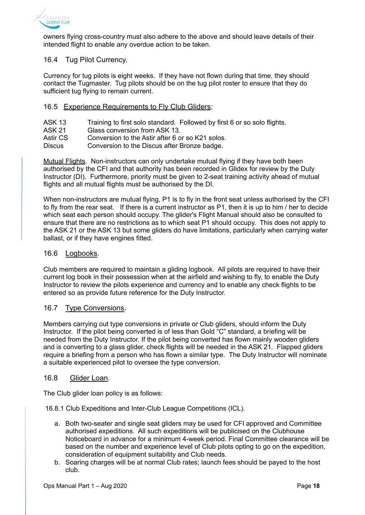

owners flying cross-country must also adhere to the above and should leave details of their intended flight to enable any overdue action to be taken.

# <span id="page-17-0"></span>16.4 Tug Pilot Currency.

Currency for tug pilots is eight weeks. If they have not flown during that time, they should contact the Tugmaster. Tug pilots should be on the tug pilot roster to ensure that they do sufficient tug flying to remain current.

# <span id="page-17-1"></span>16.5 Experience Requirements to Fly Club Gliders:

- ASK 13 Training to first solo standard. Followed by first 6 or so solo flights.
- ASK 21 Glass conversion from ASK 13.
- Astir CS Conversion to the Astir after 6 or so K21 solos.
- Discus Conversion to the Discus after Bronze badge.

Mutual Flights. Non-instructors can only undertake mutual flying if they have both been authorised by the CFI and that authority has been recorded in Glidex for review by the Duty Instructor (DI). Furthermore, priority must be given to 2-seat training activity ahead of mutual flights and all mutual flights must be authorised by the DI.

When non-instructors are mutual flying, P1 is to fly in the front seat unless authorised by the CFI to fly from the rear seat. If there is a current instructor as P1, then it is up to him / her to decide which seat each person should occupy. The glider's Flight Manual should also be consulted to ensure that there are no restrictions as to which seat P1 should occupy. This does not apply to the ASK 21 or the ASK 13 but some gliders do have limitations, particularly when carrying water ballast, or if they have engines fitted.

### <span id="page-17-2"></span>16.6 Logbooks.

Club members are required to maintain a gliding logbook. All pilots are required to have their current log book in their possession when at the airfield and wishing to fly, to enable the Duty Instructor to review the pilots experience and currency and to enable any check flights to be entered so as provide future reference for the Duty Instructor.

# <span id="page-17-3"></span>16.7 Type Conversions.

Members carrying out type conversions in private or Club gliders, should inform the Duty Instructor. If the pilot being converted is of less than Gold "C" standard, a briefing will be needed from the Duty Instructor. If the pilot being converted has flown mainly wooden gliders and is converting to a glass glider, check flights will be needed in the ASK 21. Flapped gliders require a briefing from a person who has flown a similar type. The Duty Instructor will nominate a suitable experienced pilot to oversee the type conversion.

# <span id="page-17-4"></span>16.8 Glider Loan.

The Club glider loan policy is as follows:

- 16.8.1 Club Expeditions and Inter-Club League Competitions (ICL).
	- a. Both two-seater and single seat gliders may be used for CFI approved and Committee authorised expeditions. All such expeditions will be publicised on the Clubhouse Noticeboard in advance for a minimum 4-week period. Final Committee clearance will be based on the number and experience level of Club pilots opting to go on the expedition, consideration of equipment suitability and Club needs.
	- b. Soaring charges will be at normal Club rates; launch fees should be payed to the host club.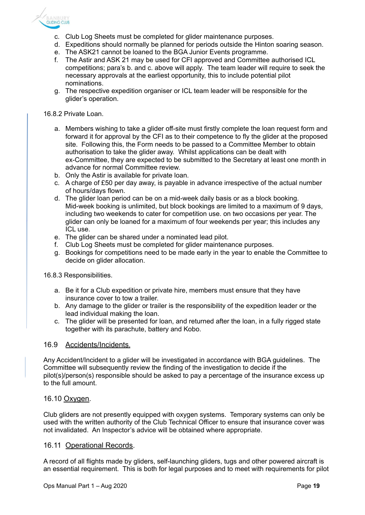

- c. Club Log Sheets must be completed for glider maintenance purposes.
- d. Expeditions should normally be planned for periods outside the Hinton soaring season.
- e. The ASK21 cannot be loaned to the BGA Junior Events programme.
- f. The Astir and ASK 21 may be used for CFI approved and Committee authorised ICL competitions; para's b. and c. above will apply. The team leader will require to seek the necessary approvals at the earliest opportunity, this to include potential pilot nominations.
- g. The respective expedition organiser or ICL team leader will be responsible for the glider's operation.

### 16.8.2 Private Loan.

- a. Members wishing to take a glider off-site must firstly complete the loan request form and forward it for approval by the CFI as to their competence to fly the glider at the proposed site. Following this, the Form needs to be passed to a Committee Member to obtain authorisation to take the glider away. Whilst applications can be dealt with ex-Committee, they are expected to be submitted to the Secretary at least one month in advance for normal Committee review.
- b. Only the Astir is available for private loan.
- c. A charge of £50 per day away, is payable in advance irrespective of the actual number of hours/days flown.
- d. The glider loan period can be on a mid-week daily basis or as a block booking. Mid-week booking is unlimited, but block bookings are limited to a maximum of 9 days, including two weekends to cater for competition use. on two occasions per year. The glider can only be loaned for a maximum of four weekends per year; this includes any ICL use.
- e. The glider can be shared under a nominated lead pilot.
- f. Club Log Sheets must be completed for glider maintenance purposes.
- g. Bookings for competitions need to be made early in the year to enable the Committee to decide on glider allocation.

16.8.3 Responsibilities.

- a. Be it for a Club expedition or private hire, members must ensure that they have insurance cover to tow a trailer.
- b. Any damage to the glider or trailer is the responsibility of the expedition leader or the lead individual making the loan.
- c. The glider will be presented for loan, and returned after the loan, in a fully rigged state together with its parachute, battery and Kobo.

### <span id="page-18-0"></span>16.9 Accidents/Incidents.

Any Accident/Incident to a glider will be investigated in accordance with BGA guidelines. The Committee will subsequently review the finding of the investigation to decide if the pilot(s)/person(s) responsible should be asked to pay a percentage of the insurance excess up to the full amount.

# <span id="page-18-1"></span>16.10 Oxygen.

Club gliders are not presently equipped with oxygen systems. Temporary systems can only be used with the written authority of the Club Technical Officer to ensure that insurance cover was not invalidated. An Inspector's advice will be obtained where appropriate.

### <span id="page-18-2"></span>16.11 Operational Records.

A record of all flights made by gliders, self-launching gliders, tugs and other powered aircraft is an essential requirement. This is both for legal purposes and to meet with requirements for pilot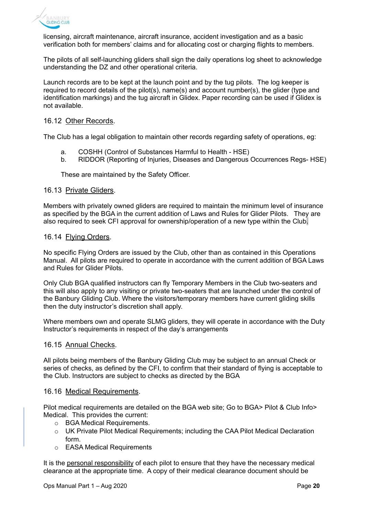

licensing, aircraft maintenance, aircraft insurance, accident investigation and as a basic verification both for members' claims and for allocating cost or charging flights to members.

The pilots of all self-launching gliders shall sign the daily operations log sheet to acknowledge understanding the DZ and other operational criteria.

Launch records are to be kept at the launch point and by the tug pilots. The log keeper is required to record details of the pilot(s), name(s) and account number(s), the glider (type and identification markings) and the tug aircraft in Glidex. Paper recording can be used if Glidex is not available.

# <span id="page-19-0"></span>16.12 Other Records.

The Club has a legal obligation to maintain other records regarding safety of operations, eg:

- a. COSHH (Control of Substances Harmful to Health HSE)
- b. RIDDOR (Reporting of Injuries, Diseases and Dangerous Occurrences Regs- HSE)

These are maintained by the Safety Officer.

### <span id="page-19-1"></span>16.13 Private Gliders.

Members with privately owned gliders are required to maintain the minimum level of insurance as specified by the BGA in the current addition of Laws and Rules for Glider Pilots. They are also required to seek CFI approval for ownership/operation of a new type within the Club.

### <span id="page-19-2"></span>16.14 Flying Orders.

No specific Flying Orders are issued by the Club, other than as contained in this Operations Manual. All pilots are required to operate in accordance with the current addition of BGA Laws and Rules for Glider Pilots.

Only Club BGA qualified instructors can fly Temporary Members in the Club two-seaters and this will also apply to any visiting or private two-seaters that are launched under the control of the Banbury Gliding Club. Where the visitors/temporary members have current gliding skills then the duty instructor's discretion shall apply.

Where members own and operate SLMG gliders, they will operate in accordance with the Duty Instructor's requirements in respect of the day's arrangements

### <span id="page-19-3"></span>16.15 Annual Checks.

All pilots being members of the Banbury Gliding Club may be subject to an annual Check or series of checks, as defined by the CFI, to confirm that their standard of flying is acceptable to the Club. Instructors are subject to checks as directed by the BGA

### <span id="page-19-4"></span>16.16 Medical Requirements.

Pilot medical requirements are detailed on the BGA web site; Go to BGA> Pilot & Club Info> Medical. This provides the current:

- o BGA Medical Requirements.
- $\circ$  UK Private Pilot Medical Requirements; including the CAA Pilot Medical Declaration form.
- o EASA Medical Requirements

It is the personal responsibility of each pilot to ensure that they have the necessary medical clearance at the appropriate time. A copy of their medical clearance document should be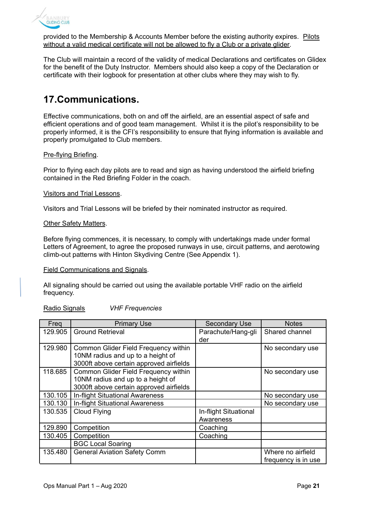

provided to the Membership & Accounts Member before the existing authority expires. Pilots without a valid medical certificate will not be allowed to fly a Club or a private glider.

The Club will maintain a record of the validity of medical Declarations and certificates on Glidex for the benefit of the Duty Instructor. Members should also keep a copy of the Declaration or certificate with their logbook for presentation at other clubs where they may wish to fly.

# <span id="page-20-0"></span>**17.Communications.**

Effective communications, both on and off the airfield, are an essential aspect of safe and efficient operations and of good team management. Whilst it is the pilot's responsibility to be properly informed, it is the CFI's responsibility to ensure that flying information is available and properly promulgated to Club members.

# Pre-flying Briefing.

Prior to flying each day pilots are to read and sign as having understood the airfield briefing contained in the Red Briefing Folder in the coach.

### Visitors and Trial Lessons.

Visitors and Trial Lessons will be briefed by their nominated instructor as required.

### **Other Safety Matters.**

Before flying commences, it is necessary, to comply with undertakings made under formal Letters of Agreement, to agree the proposed runways in use, circuit patterns, and aerotowing climb-out patterns with Hinton Skydiving Centre (See Appendix 1).

### Field Communications and Signals.

All signaling should be carried out using the available portable VHF radio on the airfield frequency.

# Radio Signals *VHF Frequencies*

| Freq    | <b>Primary Use</b>                                                                                                   | <b>Secondary Use</b>               | <b>Notes</b>                             |
|---------|----------------------------------------------------------------------------------------------------------------------|------------------------------------|------------------------------------------|
| 129.905 | <b>Ground Retrieval</b>                                                                                              | Parachute/Hang-gli<br>der          | Shared channel                           |
| 129.980 | Common Glider Field Frequency within<br>10NM radius and up to a height of<br>3000ft above certain approved airfields |                                    | No secondary use                         |
| 118.685 | Common Glider Field Frequency within<br>10NM radius and up to a height of<br>3000ft above certain approved airfields |                                    | No secondary use                         |
| 130.105 | In-flight Situational Awareness                                                                                      |                                    | No secondary use                         |
| 130.130 | In-flight Situational Awareness                                                                                      |                                    | No secondary use                         |
| 130.535 | Cloud Flying                                                                                                         | In-flight Situational<br>Awareness |                                          |
| 129.890 | Competition                                                                                                          | Coaching                           |                                          |
| 130.405 | Competition                                                                                                          | Coaching                           |                                          |
|         | <b>BGC Local Soaring</b>                                                                                             |                                    |                                          |
| 135.480 | <b>General Aviation Safety Comm</b>                                                                                  |                                    | Where no airfield<br>frequency is in use |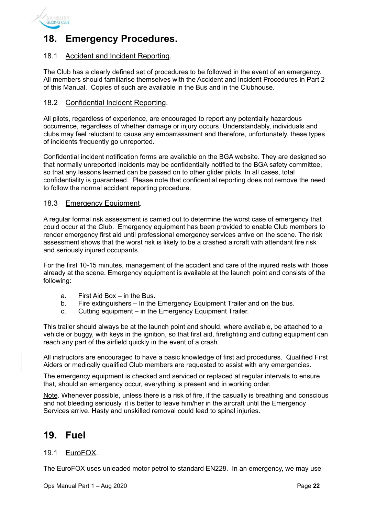

# <span id="page-21-0"></span>**18. Emergency Procedures.**

# <span id="page-21-1"></span>18.1 Accident and Incident Reporting.

The Club has a clearly defined set of procedures to be followed in the event of an emergency. All members should familiarise themselves with the Accident and Incident Procedures in Part 2 of this Manual. Copies of such are available in the Bus and in the Clubhouse.

# <span id="page-21-2"></span>18.2 Confidential Incident Reporting.

All pilots, regardless of experience, are encouraged to report any potentially hazardous occurrence, regardless of whether damage or injury occurs. Understandably, individuals and clubs may feel reluctant to cause any embarrassment and therefore, unfortunately, these types of incidents frequently go unreported.

Confidential incident notification forms are available on the BGA website. They are designed so that normally unreported incidents may be confidentially notified to the BGA safety committee, so that any lessons learned can be passed on to other glider pilots. In all cases, total confidentiality is guaranteed. Please note that confidential reporting does not remove the need to follow the normal accident reporting procedure.

# <span id="page-21-3"></span>18.3 Emergency Equipment.

A regular formal risk assessment is carried out to determine the worst case of emergency that could occur at the Club. Emergency equipment has been provided to enable Club members to render emergency first aid until professional emergency services arrive on the scene. The risk assessment shows that the worst risk is likely to be a crashed aircraft with attendant fire risk and seriously injured occupants.

For the first 10-15 minutes, management of the accident and care of the injured rests with those already at the scene. Emergency equipment is available at the launch point and consists of the following:

- a. First Aid Box in the Bus.
- b. Fire extinguishers In the Emergency Equipment Trailer and on the bus.
- c. Cutting equipment in the Emergency Equipment Trailer.

This trailer should always be at the launch point and should, where available, be attached to a vehicle or buggy, with keys in the ignition, so that first aid, firefighting and cutting equipment can reach any part of the airfield quickly in the event of a crash.

All instructors are encouraged to have a basic knowledge of first aid procedures. Qualified First Aiders or medically qualified Club members are requested to assist with any emergencies.

The emergency equipment is checked and serviced or replaced at regular intervals to ensure that, should an emergency occur, everything is present and in working order.

Note. Whenever possible, unless there is a risk of fire, if the casually is breathing and conscious and not bleeding seriously, it is better to leave him/her in the aircraft until the Emergency Services arrive. Hasty and unskilled removal could lead to spinal injuries.

# <span id="page-21-4"></span>**19. Fuel**

# <span id="page-21-5"></span>19.1 EuroFOX.

The EuroFOX uses unleaded motor petrol to standard EN228. In an emergency, we may use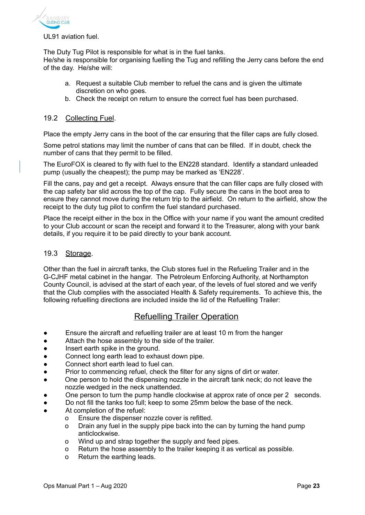

UL91 aviation fuel.

The Duty Tug Pilot is responsible for what is in the fuel tanks. He/she is responsible for organising fuelling the Tug and refilling the Jerry cans before the end of the day. He/she will:

- a. Request a suitable Club member to refuel the cans and is given the ultimate discretion on who goes.
- b. Check the receipt on return to ensure the correct fuel has been purchased.

# <span id="page-22-0"></span>19.2 Collecting Fuel.

Place the empty Jerry cans in the boot of the car ensuring that the filler caps are fully closed.

Some petrol stations may limit the number of cans that can be filled. If in doubt, check the number of cans that they permit to be filled.

The EuroFOX is cleared to fly with fuel to the EN228 standard. Identify a standard unleaded pump (usually the cheapest); the pump may be marked as 'EN228'.

Fill the cans, pay and get a receipt. Always ensure that the can filler caps are fully closed with the cap safety bar slid across the top of the cap. Fully secure the cans in the boot area to ensure they cannot move during the return trip to the airfield. On return to the airfield, show the receipt to the duty tug pilot to confirm the fuel standard purchased.

Place the receipt either in the box in the Office with your name if you want the amount credited to your Club account or scan the receipt and forward it to the Treasurer, along with your bank details, if you require it to be paid directly to your bank account.

# <span id="page-22-1"></span>19.3 Storage.

Other than the fuel in aircraft tanks, the Club stores fuel in the Refueling Trailer and in the G-CJHF metal cabinet in the hangar. The Petroleum Enforcing Authority, at Northampton County Council, is advised at the start of each year, of the levels of fuel stored and we verify that the Club complies with the associated Health & Safety requirements. To achieve this, the following refuelling directions are included inside the lid of the Refuelling Trailer:

# Refuelling Trailer Operation

- Ensure the aircraft and refuelling trailer are at least 10 m from the hanger
- Attach the hose assembly to the side of the trailer.
- Insert earth spike in the ground.
- Connect long earth lead to exhaust down pipe.
- Connect short earth lead to fuel can.
- Prior to commencing refuel, check the filter for any signs of dirt or water.
- One person to hold the dispensing nozzle in the aircraft tank neck; do not leave the nozzle wedged in the neck unattended.
- One person to turn the pump handle clockwise at approx rate of once per 2 seconds.
- Do not fill the tanks too full; keep to some 25mm below the base of the neck.
- At completion of the refuel:
	- o Ensure the dispenser nozzle cover is refitted.
	- o Drain any fuel in the supply pipe back into the can by turning the hand pump anticlockwise.
	- o Wind up and strap together the supply and feed pipes.
	- o Return the hose assembly to the trailer keeping it as vertical as possible.
	- o Return the earthing leads.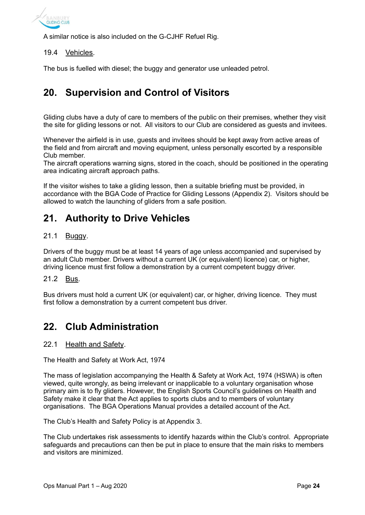

A similar notice is also included on the G-CJHF Refuel Rig.

# <span id="page-23-0"></span>19.4 Vehicles.

<span id="page-23-1"></span>The bus is fuelled with diesel; the buggy and generator use unleaded petrol.

# **20. Supervision and Control of Visitors**

Gliding clubs have a duty of care to members of the public on their premises, whether they visit the site for gliding lessons or not. All visitors to our Club are considered as guests and invitees.

Whenever the airfield is in use, guests and invitees should be kept away from active areas of the field and from aircraft and moving equipment, unless personally escorted by a responsible Club member.

The aircraft operations warning signs, stored in the coach, should be positioned in the operating area indicating aircraft approach paths.

If the visitor wishes to take a gliding lesson, then a suitable briefing must be provided, in accordance with the BGA Code of Practice for Gliding Lessons (Appendix 2). Visitors should be allowed to watch the launching of gliders from a safe position.

# <span id="page-23-2"></span>**21. Authority to Drive Vehicles**

# <span id="page-23-3"></span>21.1 Buggy.

Drivers of the buggy must be at least 14 years of age unless accompanied and supervised by an adult Club member. Drivers without a current UK (or equivalent) licence) car, or higher, driving licence must first follow a demonstration by a current competent buggy driver.

# <span id="page-23-4"></span>21.2 Bus.

Bus drivers must hold a current UK (or equivalent) car, or higher, driving licence. They must first follow a demonstration by a current competent bus driver.

# <span id="page-23-5"></span>**22. Club Administration**

# <span id="page-23-6"></span>22.1 Health and Safety.

The Health and Safety at Work Act, 1974

The mass of legislation accompanying the Health & Safety at Work Act, 1974 (HSWA) is often viewed, quite wrongly, as being irrelevant or inapplicable to a voluntary organisation whose primary aim is to fly gliders. However, the English Sports Council's guidelines on Health and Safety make it clear that the Act applies to sports clubs and to members of voluntary organisations. The BGA Operations Manual provides a detailed account of the Act.

The Club's Health and Safety Policy is at Appendix 3.

The Club undertakes risk assessments to identify hazards within the Club's control. Appropriate safeguards and precautions can then be put in place to ensure that the main risks to members and visitors are minimized.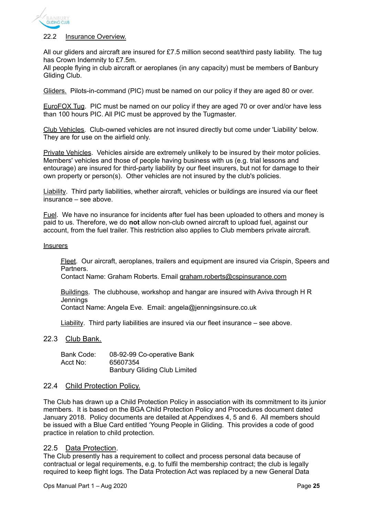

### <span id="page-24-0"></span>22.2 Insurance Overview.

All our gliders and aircraft are insured for £7.5 million second seat/third pasty liability. The tug has Crown Indemnity to £7.5m.

All people flying in club aircraft or aeroplanes (in any capacity) must be members of Banbury Gliding Club.

Gliders. Pilots-in-command (PIC) must be named on our policy if they are aged 80 or over.

EuroFOX Tug. PIC must be named on our policy if they are aged 70 or over and/or have less than 100 hours PIC. All PIC must be approved by the Tugmaster.

Club Vehicles. Club-owned vehicles are not insured directly but come under 'Liability' below. They are for use on the airfield only.

Private Vehicles. Vehicles airside are extremely unlikely to be insured by their motor policies. Members' vehicles and those of people having business with us (e.g. trial lessons and entourage) are insured for third-party liability by our fleet insurers, but not for damage to their own property or person(s). Other vehicles are not insured by the club's policies.

Liability. Third party liabilities, whether aircraft, vehicles or buildings are insured via our fleet insurance – see above.

Fuel. We have no insurance for incidents after fuel has been uploaded to others and money is paid to us. Therefore, we do **not** allow non-club owned aircraft to upload fuel, against our account, from the fuel trailer. This restriction also applies to Club members private aircraft.

#### **Insurers**

Fleet. Our aircraft, aeroplanes, trailers and equipment are insured via Crispin, Speers and Partners.

Contact Name: Graham Roberts. Email [graham.roberts@cspinsurance.com](mailto:graham.roberts@cspinsurance.com)

Buildings. The clubhouse, workshop and hangar are insured with Aviva through H R **Jennings** 

Contact Name: Angela Eve. Email: [angela@jenningsinsure.co.uk](mailto:angela@jenningsinsure.co.uk)

Liability. Third party liabilities are insured via our fleet insurance – see above.

<span id="page-24-1"></span>22.3 Club Bank.

Bank Code: 08-92-99 Co-operative Bank Acct No: 65607354 Banbury Gliding Club Limited

### <span id="page-24-2"></span>22.4 Child Protection Policy.

The Club has drawn up a Child Protection Policy in association with its commitment to its junior members. It is based on the BGA Child Protection Policy and Procedures document dated January 2018. Policy documents are detailed at Appendixes 4, 5 and 6. All members should be issued with a Blue Card entitled 'Young People in Gliding. This provides a code of good practice in relation to child protection.

### <span id="page-24-3"></span>22.5 Data Protection.

The Club presently has a requirement to collect and process personal data because of contractual or legal requirements, e.g. to fulfil the membership contract; the club is legally required to keep flight logs. The Data Protection Act was replaced by a new General Data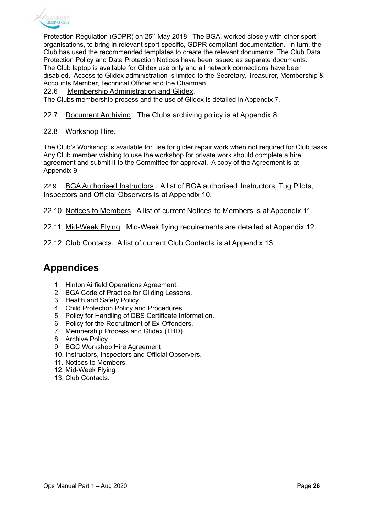

Protection Regulation (GDPR) on 25<sup>th</sup> May 2018. The BGA, worked closely with other sport organisations, to bring in relevant sport specific, GDPR compliant documentation. In turn, the Club has used the recommended templates to create the relevant documents. The Club Data Protection Policy and Data Protection Notices have been issued as separate documents. The Club laptop is available for Glidex use only and all network connections have been disabled. Access to Glidex administration is limited to the Secretary, Treasurer, Membership & Accounts Member, Technical Officer and the Chairman.

<span id="page-25-0"></span>22.6 Membership Administration and Glidex.

The Clubs membership process and the use of Glidex is detailed in Appendix 7.

# <span id="page-25-1"></span>22.7 Document Archiving. The Clubs archiving policy is at Appendix 8.

# <span id="page-25-2"></span>22.8 Workshop Hire.

The Club's Workshop is available for use for glider repair work when not required for Club tasks. Any Club member wishing to use the workshop for private work should complete a hire agreement and submit it to the Committee for approval. A copy of the Agreement is at Appendix 9.

<span id="page-25-3"></span>22.9 BGA Authorised Instructors. A list of BGA authorised Instructors, Tug Pilots, Inspectors and Official Observers is at Appendix 10.

<span id="page-25-4"></span>22.10 Notices to Members. A list of current Notices to Members is at Appendix 11.

<span id="page-25-5"></span>22.11 Mid-Week Flying. Mid-Week flying requirements are detailed at Appendix 12.

<span id="page-25-7"></span><span id="page-25-6"></span>22.12 Club Contacts. A list of current Club Contacts is at Appendix 13.

# **Appendices**

- 1. Hinton Airfield Operations Agreement.
- 2. BGA Code of Practice for Gliding Lessons.
- 3. Health and Safety Policy.
- 4. Child Protection Policy and Procedures.
- 5. Policy for Handling of DBS Certificate Information.
- 6. Policy for the Recruitment of Ex-Offenders.
- 7. Membership Process and Glidex (TBD)
- 8. Archive Policy.
- 9. BGC Workshop Hire Agreement
- 10. Instructors, Inspectors and Official Observers.
- 11. Notices to Members.
- 12. Mid-Week Flying
- 13. Club Contacts.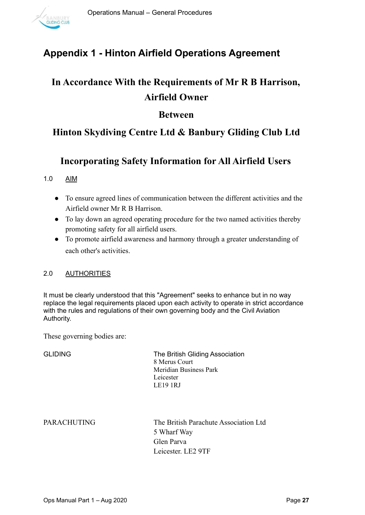

# <span id="page-26-0"></span>**Appendix 1 - Hinton Airfield Operations Agreement**

# **In Accordance With the Requirements of Mr R B Harrison, Airfield Owner**

# **Between**

# **Hinton Skydiving Centre Ltd & Banbury Gliding Club Ltd**

# **Incorporating Safety Information for All Airfield Users**

1.0 AIM

- To ensure agreed lines of communication between the different activities and the Airfield owner Mr R B Harrison.
- To lay down an agreed operating procedure for the two named activities thereby promoting safety for all airfield users.
- To promote airfield awareness and harmony through a greater understanding of each other's activities.

# 2.0 AUTHORITIES

It must be clearly understood that this "Agreement" seeks to enhance but in no way replace the legal requirements placed upon each activity to operate in strict accordance with the rules and regulations of their own governing body and the Civil Aviation Authority.

These governing bodies are:

GLIDING **The British Gliding Association** 8 Merus Court Meridian Business Park Leicester LE19 1RJ

PARACHUTING The British Parachute Association Ltd 5 Wharf Way Glen Parva Leicester. LE2 9TF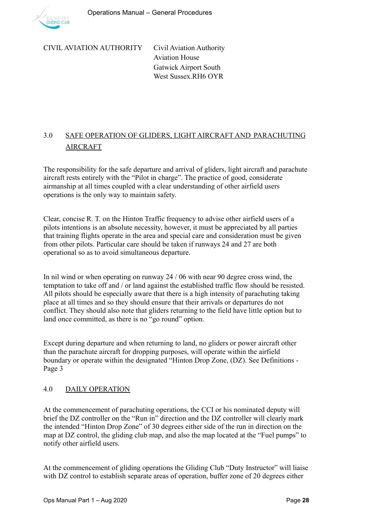

CIVIL AVIATION AUTHORITY Civil Aviation Authority

Aviation House Gatwick Airport South West Sussex.RH6 OYR

# 3.0 SAFE OPERATION OF GLIDERS, LIGHT AIRCRAFT AND PARACHUTING AIRCRAFT

The responsibility for the safe departure and arrival of gliders, light aircraft and parachute aircraft rests entirely with the "Pilot in charge". The practice of good, considerate airmanship at all times coupled with a clear understanding of other airfield users operations is the only way to maintain safety.

Clear, concise R. T. on the Hinton Traffic frequency to advise other airfield users of a pilots intentions is an absolute necessity, however, it must be appreciated by all parties that training flights operate in the area and special care and consideration must be given from other pilots. Particular care should be taken if runways 24 and 27 are both operational so as to avoid simultaneous departure.

In nil wind or when operating on runway 24 / 06 with near 90 degree cross wind, the temptation to take off and / or land against the established traffic flow should be resisted. All pilots should be especially aware that there is a high intensity of parachuting taking place at all times and so they should ensure that their arrivals or departures do not conflict. They should also note that gliders returning to the field have little option but to land once committed, as there is no "go round" option.

Except during departure and when returning to land, no gliders or power aircraft other than the parachute aircraft for dropping purposes, will operate within the airfield boundary or operate within the designated "Hinton Drop Zone, (DZ). See Definitions - Page 3

# 4.0 DAILY OPERATION

At the commencement of parachuting operations, the CCI or his nominated deputy will brief the DZ controller on the "Run in" direction and the DZ controller will clearly mark the intended "Hinton Drop Zone" of 30 degrees either side of the run in direction on the map at DZ control, the gliding club map, and also the map located at the "Fuel pumps" to notify other airfield users.

At the commencement of gliding operations the Gliding Club "Duty Instructor" will liaise with DZ control to establish separate areas of operation, buffer zone of 20 degrees either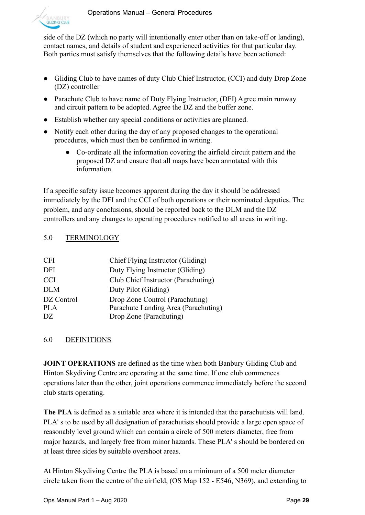

side of the DZ (which no party will intentionally enter other than on take-off or landing), contact names, and details of student and experienced activities for that particular day. Both parties must satisfy themselves that the following details have been actioned:

- Gliding Club to have names of duty Club Chief Instructor, (CCI) and duty Drop Zone (DZ) controller
- Parachute Club to have name of Duty Flying Instructor, (DFI) Agree main runway and circuit pattern to be adopted. Agree the DZ and the buffer zone.
- Establish whether any special conditions or activities are planned.
- Notify each other during the day of any proposed changes to the operational procedures, which must then be confirmed in writing.
	- Co-ordinate all the information covering the airfield circuit pattern and the proposed DZ and ensure that all maps have been annotated with this information.

If a specific safety issue becomes apparent during the day it should be addressed immediately by the DFI and the CCI of both operations or their nominated deputies. The problem, and any conclusions, should be reported back to the DLM and the DZ controllers and any changes to operating procedures notified to all areas in writing.

# 5.0 TERMINOLOGY

| <b>CFI</b>               | Chief Flying Instructor (Gliding)                                       |
|--------------------------|-------------------------------------------------------------------------|
| DFI                      | Duty Flying Instructor (Gliding)                                        |
| <b>CCI</b>               | Club Chief Instructor (Parachuting)                                     |
| <b>DLM</b>               | Duty Pilot (Gliding)                                                    |
| DZ Control<br><b>PLA</b> | Drop Zone Control (Parachuting)<br>Parachute Landing Area (Parachuting) |
| DZ.                      | Drop Zone (Parachuting)                                                 |

# 6.0 DEFINITIONS

**JOINT OPERATIONS** are defined as the time when both Banbury Gliding Club and Hinton Skydiving Centre are operating at the same time. If one club commences operations later than the other, joint operations commence immediately before the second club starts operating.

**The PLA** is defined as a suitable area where it is intended that the parachutists will land. PLA' s to be used by all designation of parachutists should provide a large open space of reasonably level ground which can contain a circle of 500 meters diameter, free from major hazards, and largely free from minor hazards. These PLA' s should be bordered on at least three sides by suitable overshoot areas.

At Hinton Skydiving Centre the PLA is based on a minimum of a 500 meter diameter circle taken from the centre of the airfield, (OS Map 152 - E546, N369), and extending to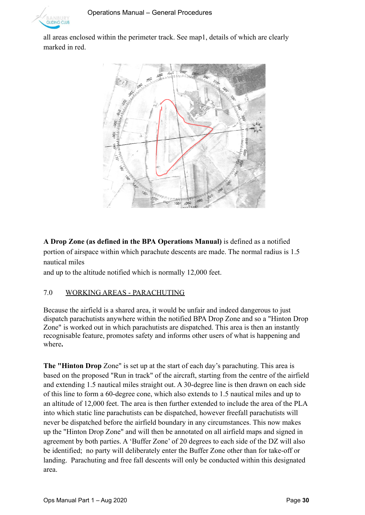

all areas enclosed within the perimeter track. See map1, details of which are clearly marked in red.



**A Drop Zone (as defined in the BPA Operations Manual)** is defined as a notified portion of airspace within which parachute descents are made. The normal radius is 1.5 nautical miles

and up to the altitude notified which is normally 12,000 feet.

# 7.0 WORKING AREAS - PARACHUTING

Because the airfield is a shared area, it would be unfair and indeed dangerous to just dispatch parachutists anywhere within the notified BPA Drop Zone and so a "Hinton Drop Zone" is worked out in which parachutists are dispatched. This area is then an instantly recognisable feature, promotes safety and informs other users of what is happening and where**.**

**The "Hinton Drop** Zone" is set up at the start of each day's parachuting. This area is based on the proposed "Run in track" of the aircraft, starting from the centre of the airfield and extending 1.5 nautical miles straight out. A 30-degree line is then drawn on each side of this line to form a 60-degree cone, which also extends to 1.5 nautical miles and up to an altitude of 12,000 feet. The area is then further extended to include the area of the PLA into which static line parachutists can be dispatched, however freefall parachutists will never be dispatched before the airfield boundary in any circumstances. This now makes up the "Hinton Drop Zone" and will then be annotated on all airfield maps and signed in agreement by both parties. A 'Buffer Zone' of 20 degrees to each side of the DZ will also be identified; no party will deliberately enter the Buffer Zone other than for take-off or landing. Parachuting and free fall descents will only be conducted within this designated area.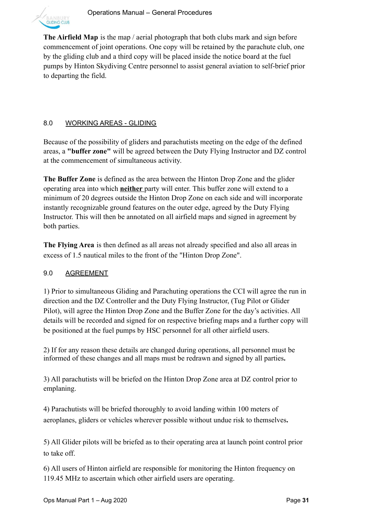

**The Airfield Map** is the map / aerial photograph that both clubs mark and sign before commencement of joint operations. One copy will be retained by the parachute club, one by the gliding club and a third copy will be placed inside the notice board at the fuel pumps by Hinton Skydiving Centre personnel to assist general aviation to self-brief prior to departing the field.

# 8.0 WORKING AREAS - GLIDING

Because of the possibility of gliders and parachutists meeting on the edge of the defined areas, a **"buffer zone"** will be agreed between the Duty Flying Instructor and DZ control at the commencement of simultaneous activity.

**The Buffer Zone** is defined as the area between the Hinton Drop Zone and the glider operating area into which **neither** party will enter. This buffer zone will extend to a minimum of 20 degrees outside the Hinton Drop Zone on each side and will incorporate instantly recognizable ground features on the outer edge, agreed by the Duty Flying Instructor. This will then be annotated on all airfield maps and signed in agreement by both parties.

**The Flying Area** is then defined as all areas not already specified and also all areas in excess of 1.5 nautical miles to the front of the "Hinton Drop Zone".

# 9.0 AGREEMENT

1) Prior to simultaneous Gliding and Parachuting operations the CCI will agree the run in direction and the DZ Controller and the Duty Flying Instructor, (Tug Pilot or Glider Pilot), will agree the Hinton Drop Zone and the Buffer Zone for the day's activities. All details will be recorded and signed for on respective briefing maps and a further copy will be positioned at the fuel pumps by HSC personnel for all other airfield users.

2) If for any reason these details are changed during operations, all personnel must be informed of these changes and all maps must be redrawn and signed by all parties**.**

3) All parachutists will be briefed on the Hinton Drop Zone area at DZ control prior to emplaning.

4) Parachutists will be briefed thoroughly to avoid landing within 100 meters of aeroplanes, gliders or vehicles wherever possible without undue risk to themselves**.**

5) All Glider pilots will be briefed as to their operating area at launch point control prior to take off.

6) All users of Hinton airfield are responsible for monitoring the Hinton frequency on 119.45 MHz to ascertain which other airfield users are operating.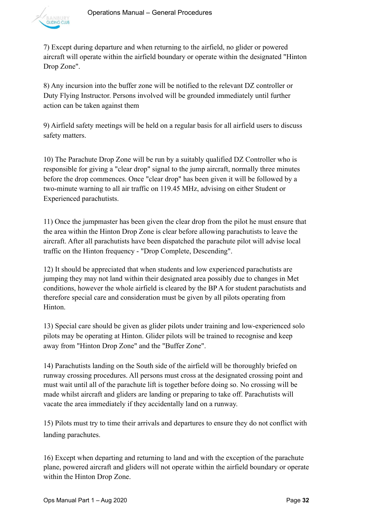

7) Except during departure and when returning to the airfield, no glider or powered aircraft will operate within the airfield boundary or operate within the designated "Hinton Drop Zone".

8) Any incursion into the buffer zone will be notified to the relevant DZ controller or Duty Flying Instructor. Persons involved will be grounded immediately until further action can be taken against them

9) Airfield safety meetings will be held on a regular basis for all airfield users to discuss safety matters.

10) The Parachute Drop Zone will be run by a suitably qualified DZ Controller who is responsible for giving a "clear drop" signal to the jump aircraft, normally three minutes before the drop commences. Once "clear drop" has been given it will be followed by a two-minute warning to all air traffic on 119.45 MHz, advising on either Student or Experienced parachutists.

11) Once the jumpmaster has been given the clear drop from the pilot he must ensure that the area within the Hinton Drop Zone is clear before allowing parachutists to leave the aircraft. After all parachutists have been dispatched the parachute pilot will advise local traffic on the Hinton frequency - "Drop Complete, Descending".

12) It should be appreciated that when students and low experienced parachutists are jumping they may not land within their designated area possibly due to changes in Met conditions, however the whole airfield is cleared by the BP A for student parachutists and therefore special care and consideration must be given by all pilots operating from Hinton.

13) Special care should be given as glider pilots under training and low-experienced solo pilots may be operating at Hinton. Glider pilots will be trained to recognise and keep away from "Hinton Drop Zone" and the "Buffer Zone".

14) Parachutists landing on the South side of the airfield will be thoroughly briefed on runway crossing procedures. All persons must cross at the designated crossing point and must wait until all of the parachute lift is together before doing so. No crossing will be made whilst aircraft and gliders are landing or preparing to take off. Parachutists will vacate the area immediately if they accidentally land on a runway.

15) Pilots must try to time their arrivals and departures to ensure they do not conflict with landing parachutes.

16) Except when departing and returning to land and with the exception of the parachute plane, powered aircraft and gliders will not operate within the airfield boundary or operate within the Hinton Drop Zone.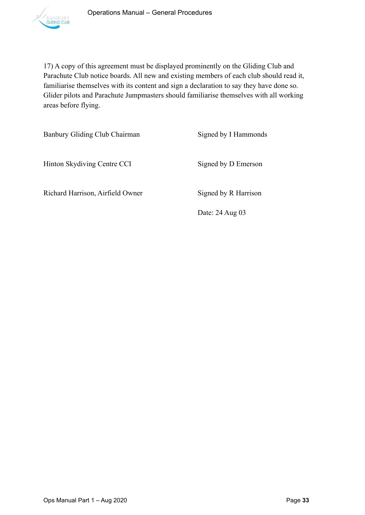

17) A copy of this agreement must be displayed prominently on the Gliding Club and Parachute Club notice boards. All new and existing members of each club should read it, familiarise themselves with its content and sign a declaration to say they have done so. Glider pilots and Parachute Jumpmasters should familiarise themselves with all working areas before flying.

Banbury Gliding Club Chairman Signed by I Hammonds Hinton Skydiving Centre CCI Signed by D Emerson Richard Harrison, Airfield Owner Signed by R Harrison Date: 24 Aug 03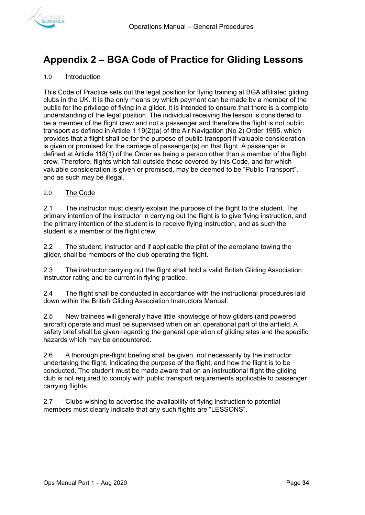

# <span id="page-33-0"></span>**Appendix 2 – BGA Code of Practice for Gliding Lessons**

# 1.0 Introduction

This Code of Practice sets out the legal position for flying training at BGA affiliated gliding clubs in the UK. It is the only means by which payment can be made by a member of the public for the privilege of flying in a glider. It is intended to ensure that there is a complete understanding of the legal position. The individual receiving the lesson is considered to be a member of the flight crew and not a passenger and therefore the flight is not public transport as defined in Article 1 19(2)(a) of the Air Navigation (No 2) Order 1995, which provides that a flight shall be for the purpose of public transport if valuable consideration is given or promised for the carriage of passenger(s) on that flight. A passenger is defined at Article 118(1) of the Order as being a person other than a member of the flight crew. Therefore, flights which fall outside those covered by this Code, and for which valuable consideration is given or promised, may be deemed to be "Public Transport", and as such may be illegal.

# 2.0 The Code

2.1 The instructor must clearly explain the purpose of the flight to the student. The primary intention of the instructor in carrying out the flight is to give flying instruction, and the primary intention of the student is to receive flying instruction, and as such the student is a member of the flight crew.

2.2 The student, instructor and if applicable the pilot of the aeroplane towing the glider, shall be members of the club operating the flight.

2.3 The instructor carrying out the flight shall hold a valid British Gliding Association instructor rating and be current in flying practice.

2.4 The flight shall be conducted in accordance with the instructional procedures laid down within the British Gliding Association Instructors Manual.

2.5 New trainees will generally have little knowledge of how gliders (and powered aircraft) operate and must be supervised when on an operational part of the airfield. A safety brief shall be given regarding the general operation of gliding sites and the specific hazards which may be encountered.

2.6 A thorough pre-flight briefing shall be given, not necessarily by the instructor undertaking the flight, indicating the purpose of the flight, and how the flight is to be conducted. The student must be made aware that on an instructional flight the gliding club is not required to comply with public transport requirements applicable to passenger carrying flights.

2.7 Clubs wishing to advertise the availability of flying instruction to potential members must clearly indicate that any such flights are "LESSONS".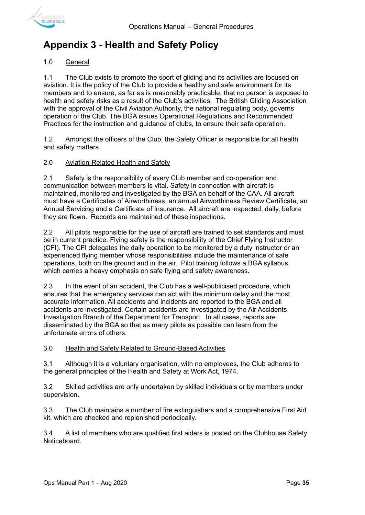

# <span id="page-34-0"></span>**Appendix 3 - Health and Safety Policy**

# 1.0 General

1.1 The Club exists to promote the sport of gliding and its activities are focused on aviation. It is the policy of the Club to provide a healthy and safe environment for its members and to ensure, as far as is reasonably practicable, that no person is exposed to health and safety risks as a result of the Club's activities. The British Gliding Association with the approval of the Civil Aviation Authority, the national regulating body, governs operation of the Club. The BGA issues Operational Regulations and Recommended Practices for the instruction and guidance of clubs, to ensure their safe operation.

1.2 Amongst the officers of the Club, the Safety Officer is responsible for all health and safety matters.

### 2.0 Aviation-Related Health and Safety

2.1 Safety is the responsibility of every Club member and co-operation and communication between members is vital. Safety in connection with aircraft is maintained, monitored and investigated by the BGA on behalf of the CAA. All aircraft must have a Certificates of Airworthiness, an annual Airworthiness Review Certificate, an Annual Servicing and a Certificate of Insurance. All aircraft are inspected, daily, before they are flown. Records are maintained of these inspections.

2.2 All pilots responsible for the use of aircraft are trained to set standards and must be in current practice. Flying safety is the responsibility of the Chief Flying Instructor (CFI). The CFI delegates the daily operation to be monitored by a duty instructor or an experienced flying member whose responsibilities include the maintenance of safe operations, both on the ground and in the air. Pilot training follows a BGA syllabus, which carries a heavy emphasis on safe flying and safety awareness.

2.3 In the event of an accident, the Club has a well-publicised procedure, which ensures that the emergency services can act with the minimum delay and the most accurate information. All accidents and incidents are reported to the BGA and all accidents are investigated. Certain accidents are investigated by the Air Accidents Investigation Branch of the Department for Transport. In all cases, reports are disseminated by the BGA so that as many pilots as possible can learn from the unfortunate errors of others.

# 3.0 Health and Safety Related to Ground-Based Activities

3.1 Although it is a voluntary organisation, with no employees, the Club adheres to the general principles of the Health and Safety at Work Act, 1974.

3.2 Skilled activities are only undertaken by skilled individuals or by members under supervision.

3.3 The Club maintains a number of fire extinguishers and a comprehensive First Aid kit, which are checked and replenished periodically.

3.4 A list of members who are qualified first aiders is posted on the Clubhouse Safety Noticeboard.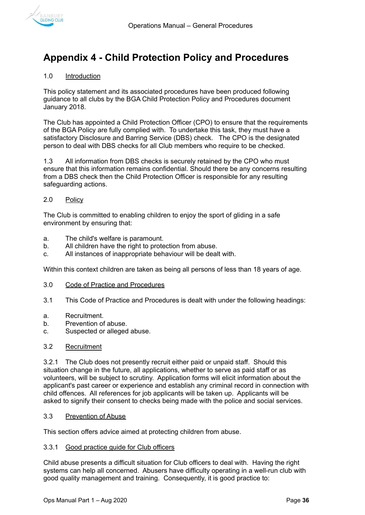

# <span id="page-35-0"></span>**Appendix 4 - Child Protection Policy and Procedures**

# 1.0 Introduction

This policy statement and its associated procedures have been produced following guidance to all clubs by the BGA Child Protection Policy and Procedures document January 2018.

The Club has appointed a Child Protection Officer (CPO) to ensure that the requirements of the BGA Policy are fully complied with. To undertake this task, they must have a satisfactory Disclosure and Barring Service (DBS) check. The CPO is the designated person to deal with DBS checks for all Club members who require to be checked.

1.3 All information from DBS checks is securely retained by the CPO who must ensure that this information remains confidential. Should there be any concerns resulting from a DBS check then the Child Protection Officer is responsible for any resulting safeguarding actions.

### 2.0 Policy

The Club is committed to enabling children to enjoy the sport of gliding in a safe environment by ensuring that:

- a. The child's welfare is paramount.
- b. All children have the right to protection from abuse.
- c. All instances of inappropriate behaviour will be dealt with.

Within this context children are taken as being all persons of less than 18 years of age.

- 3.0 Code of Practice and Procedures
- 3.1 This Code of Practice and Procedures is dealt with under the following headings:
- a. Recruitment.
- b. Prevention of abuse.
- c. Suspected or alleged abuse.

### 3.2 Recruitment

3.2.1 The Club does not presently recruit either paid or unpaid staff. Should this situation change in the future, all applications, whether to serve as paid staff or as volunteers, will be subject to scrutiny. Application forms will elicit information about the applicant's past career or experience and establish any criminal record in connection with child offences. All references for job applicants will be taken up. Applicants will be asked to signify their consent to checks being made with the police and social services.

### 3.3 Prevention of Abuse

This section offers advice aimed at protecting children from abuse.

### 3.3.1 Good practice guide for Club officers

Child abuse presents a difficult situation for Club officers to deal with. Having the right systems can help all concerned. Abusers have difficulty operating in a well-run club with good quality management and training. Consequently, it is good practice to: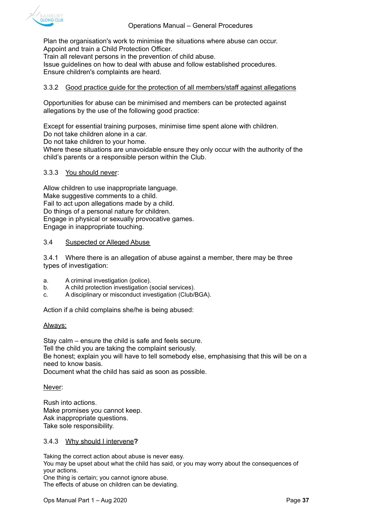

Plan the organisation's work to minimise the situations where abuse can occur. Appoint and train a Child Protection Officer.

Train all relevant persons in the prevention of child abuse.

Issue guidelines on how to deal with abuse and follow established procedures. Ensure children's complaints are heard.

# 3.3.2 Good practice guide for the protection of all members/staff against allegations

Opportunities for abuse can be minimised and members can be protected against allegations by the use of the following good practice:

Except for essential training purposes, minimise time spent alone with children.

Do not take children alone in a car.

Do not take children to your home.

Where these situations are unavoidable ensure they only occur with the authority of the child's parents or a responsible person within the Club.

### 3.3.3 You should never:

Allow children to use inappropriate language. Make suggestive comments to a child. Fail to act upon allegations made by a child. Do things of a personal nature for children. Engage in physical or sexually provocative games. Engage in inappropriate touching.

### 3.4 Suspected or Alleged Abuse

3.4.1 Where there is an allegation of abuse against a member, there may be three types of investigation:

- a. A criminal investigation (police).
- b. A child protection investigation (social services).
- c. A disciplinary or misconduct investigation (Club/BGA).

Action if a child complains she/he is being abused:

### Always:

Stay calm – ensure the child is safe and feels secure.

Tell the child you are taking the complaint seriously.

Be honest; explain you will have to tell somebody else, emphasising that this will be on a need to know basis.

Document what the child has said as soon as possible.

### Never:

Rush into actions. Make promises you cannot keep. Ask inappropriate questions. Take sole responsibility.

### 3.4.3 Why should I intervene**?**

Taking the correct action about abuse is never easy.

You may be upset about what the child has said, or you may worry about the consequences of your actions.

One thing is certain; you cannot ignore abuse.

The effects of abuse on children can be deviating.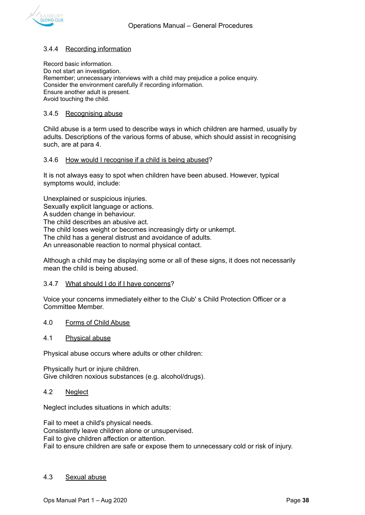

# 3.4.4 Recording information

Record basic information. Do not start an investigation. Remember; unnecessary interviews with a child may prejudice a police enquiry. Consider the environment carefully if recording information. Ensure another adult is present. Avoid touching the child.

### 3.4.5 Recognising abuse

Child abuse is a term used to describe ways in which children are harmed, usually by adults. Descriptions of the various forms of abuse, which should assist in recognising such, are at para 4.

### 3.4.6 How would I recognise if a child is being abused?

It is not always easy to spot when children have been abused. However, typical symptoms would, include:

Unexplained or suspicious injuries. Sexually explicit language or actions. A sudden change in behaviour. The child describes an abusive act. The child loses weight or becomes increasingly dirty or unkempt. The child has a general distrust and avoidance of adults. An unreasonable reaction to normal physical contact.

Although a child may be displaying some or all of these signs, it does not necessarily mean the child is being abused.

### 3.4.7 What should I do if I have concerns?

Voice your concerns immediately either to the Club' s Child Protection Officer or a Committee Member.

4.0 Forms of Child Abuse

### 4.1 Physical abuse

Physical abuse occurs where adults or other children:

Physically hurt or injure children. Give children noxious substances (e.g. alcohol/drugs).

### 4.2 Neglect

Neglect includes situations in which adults:

Fail to meet a child's physical needs. Consistently leave children alone or unsupervised. Fail to give children affection or attention. Fail to ensure children are safe or expose them to unnecessary cold or risk of injury.

### 4.3 Sexual abuse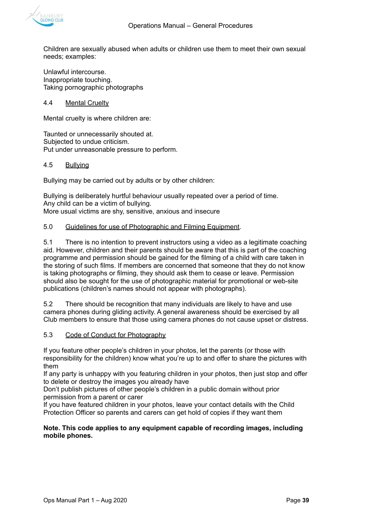

Children are sexually abused when adults or children use them to meet their own sexual needs; examples:

Unlawful intercourse. Inappropriate touching. Taking pornographic photographs

### 4.4 Mental Cruelty

Mental cruelty is where children are:

Taunted or unnecessarily shouted at. Subjected to undue criticism. Put under unreasonable pressure to perform.

### 4.5 Bullying

Bullying may be carried out by adults or by other children:

Bullying is deliberately hurtful behaviour usually repeated over a period of time. Any child can be a victim of bullying. More usual victims are shy, sensitive, anxious and insecure

# 5.0 Guidelines for use of Photographic and Filming Equipment.

5.1 There is no intention to prevent instructors using a video as a legitimate coaching aid. However, children and their parents should be aware that this is part of the coaching programme and permission should be gained for the filming of a child with care taken in the storing of such films. If members are concerned that someone that they do not know is taking photographs or filming, they should ask them to cease or leave. Permission should also be sought for the use of photographic material for promotional or web-site publications (children's names should not appear with photographs).

5.2 There should be recognition that many individuals are likely to have and use camera phones during gliding activity. A general awareness should be exercised by all Club members to ensure that those using camera phones do not cause upset or distress.

### 5.3 Code of Conduct for Photography

If you feature other people's children in your photos, let the parents (or those with responsibility for the children) know what you're up to and offer to share the pictures with them

If any party is unhappy with you featuring children in your photos, then just stop and offer to delete or destroy the images you already have

Don't publish pictures of other people's children in a public domain without prior permission from a parent or carer

If you have featured children in your photos, leave your contact details with the Child Protection Officer so parents and carers can get hold of copies if they want them

### **Note. This code applies to any equipment capable of recording images, including mobile phones.**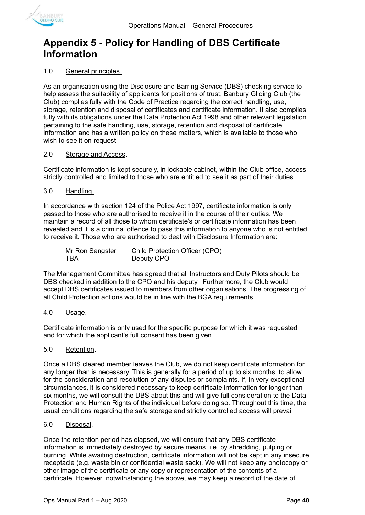

# <span id="page-39-0"></span>**Appendix 5 - Policy for Handling of DBS Certificate Information**

# 1.0 **General principles.**

As an organisation using the Disclosure and Barring Service (DBS) checking service to help assess the suitability of applicants for positions of trust, Banbury Gliding Club (the Club) complies fully with the Code of Practice regarding the correct handling, use, storage, retention and disposal of certificates and certificate information. It also complies fully with its obligations under the Data Protection Act 1998 and other relevant legislation pertaining to the safe handling, use, storage, retention and disposal of certificate information and has a written policy on these matters, which is available to those who wish to see it on request.

# 2.0 Storage and Access.

Certificate information is kept securely, in lockable cabinet, within the Club office, access strictly controlled and limited to those who are entitled to see it as part of their duties.

### 3.0 Handling.

In accordance with section 124 of the Police Act 1997, certificate information is only passed to those who are authorised to receive it in the course of their duties. We maintain a record of all those to whom certificate's or certificate information has been revealed and it is a criminal offence to pass this information to anyone who is not entitled to receive it. Those who are authorised to deal with Disclosure Information are:

| Mr Ron Sangster | Child Protection Officer (CPO) |
|-----------------|--------------------------------|
| <b>TBA</b>      | Deputy CPO                     |

The Management Committee has agreed that all Instructors and Duty Pilots should be DBS checked in addition to the CPO and his deputy. Furthermore, the Club would accept DBS certificates issued to members from other organisations. The progressing of all Child Protection actions would be in line with the BGA requirements.

# 4.0 Usage.

Certificate information is only used for the specific purpose for which it was requested and for which the applicant's full consent has been given.

# 5.0 Retention.

Once a DBS cleared member leaves the Club, we do not keep certificate information for any longer than is necessary. This is generally for a period of up to six months, to allow for the consideration and resolution of any disputes or complaints. If, in very exceptional circumstances, it is considered necessary to keep certificate information for longer than six months, we will consult the DBS about this and will give full consideration to the Data Protection and Human Rights of the individual before doing so. Throughout this time, the usual conditions regarding the safe storage and strictly controlled access will prevail.

# 6.0 Disposal.

Once the retention period has elapsed, we will ensure that any DBS certificate information is immediately destroyed by secure means, i.e. by shredding, pulping or burning. While awaiting destruction, certificate information will not be kept in any insecure receptacle (e.g. waste bin or confidential waste sack). We will not keep any photocopy or other image of the certificate or any copy or representation of the contents of a certificate. However, notwithstanding the above, we may keep a record of the date of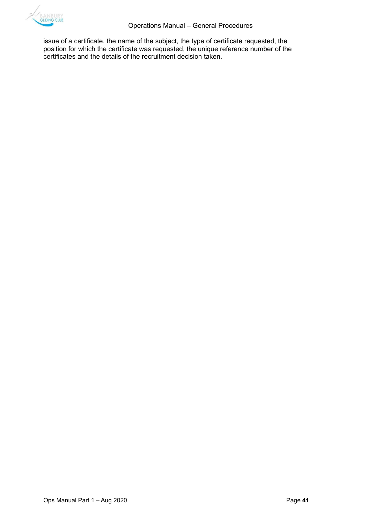

issue of a certificate, the name of the subject, the type of certificate requested, the position for which the certificate was requested, the unique reference number of the certificates and the details of the recruitment decision taken.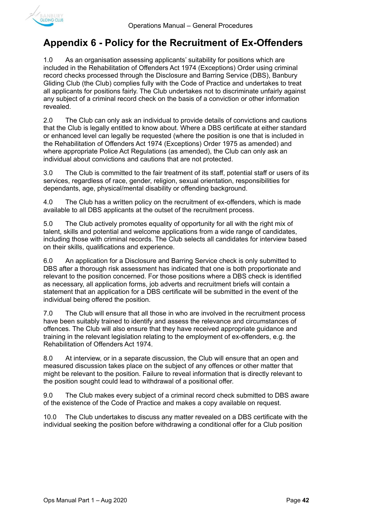

# <span id="page-41-0"></span>**Appendix 6 - Policy for the Recruitment of Ex-Offenders**

1.0 As an organisation assessing applicants' suitability for positions which are included in the Rehabilitation of Offenders Act 1974 (Exceptions) Order using criminal record checks processed through the Disclosure and Barring Service (DBS), Banbury Gliding Club (the Club) complies fully with the Code of Practice and undertakes to treat all applicants for positions fairly. The Club undertakes not to discriminate unfairly against any subject of a criminal record check on the basis of a conviction or other information revealed.

2.0 The Club can only ask an individual to provide details of convictions and cautions that the Club is legally entitled to know about. Where a DBS certificate at either standard or enhanced level can legally be requested (where the position is one that is included in the Rehabilitation of Offenders Act 1974 (Exceptions) Order 1975 as amended) and where appropriate Police Act Regulations (as amended), the Club can only ask an individual about convictions and cautions that are not protected.

3.0 The Club is committed to the fair treatment of its staff, potential staff or users of its services, regardless of race, gender, religion, sexual orientation, responsibilities for dependants, age, physical/mental disability or offending background.

4.0 The Club has a written policy on the recruitment of ex-offenders, which is made available to all DBS applicants at the outset of the recruitment process.

5.0 The Club actively promotes equality of opportunity for all with the right mix of talent, skills and potential and welcome applications from a wide range of candidates, including those with criminal records. The Club selects all candidates for interview based on their skills, qualifications and experience.

6.0 An application for a Disclosure and Barring Service check is only submitted to DBS after a thorough risk assessment has indicated that one is both proportionate and relevant to the position concerned. For those positions where a DBS check is identified as necessary, all application forms, job adverts and recruitment briefs will contain a statement that an application for a DBS certificate will be submitted in the event of the individual being offered the position.

7.0 The Club will ensure that all those in who are involved in the recruitment process have been suitably trained to identify and assess the relevance and circumstances of offences. The Club will also ensure that they have received appropriate guidance and training in the relevant legislation relating to the employment of ex-offenders, e.g. the Rehabilitation of Offenders Act 1974.

8.0 At interview, or in a separate discussion, the Club will ensure that an open and measured discussion takes place on the subject of any offences or other matter that might be relevant to the position. Failure to reveal information that is directly relevant to the position sought could lead to withdrawal of a positional offer.

9.0 The Club makes every subject of a criminal record check submitted to DBS aware of the existence of the Code of Practice and makes a copy available on request.

10.0 The Club undertakes to discuss any matter revealed on a DBS certificate with the individual seeking the position before withdrawing a conditional offer for a Club position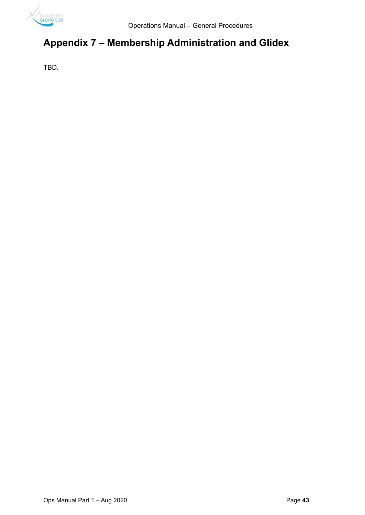

# <span id="page-42-0"></span>**Appendix 7 – Membership Administration and Glidex**

TBD.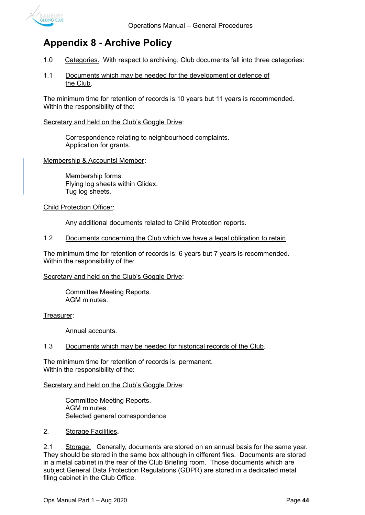

# <span id="page-43-0"></span>**Appendix 8 - Archive Policy**

- 1.0 Categories. With respect to archiving, Club documents fall into three categories:
- 1.1 Documents which may be needed for the development or defence of the Club.

The minimum time for retention of records is:10 years but 11 years is recommended. Within the responsibility of the:

### Secretary and held on the Club's Goggle Drive:

Correspondence relating to neighbourhood complaints. Application for grants.

### Membership & Accountsl Member:

Membership forms. Flying log sheets within Glidex. Tug log sheets.

### Child Protection Officer:

Any additional documents related to Child Protection reports.

### 1.2 Documents concerning the Club which we have a legal obligation to retain.

The minimum time for retention of records is: 6 years but 7 years is recommended. Within the responsibility of the:

### Secretary and held on the Club's Goggle Drive:

Committee Meeting Reports. AGM minutes.

### Treasurer:

Annual accounts.

### 1.3 Documents which may be needed for historical records of the Club.

The minimum time for retention of records is: permanent. Within the responsibility of the:

### Secretary and held on the Club's Goggle Drive:

Committee Meeting Reports. AGM minutes. Selected general correspondence

# 2. Storage Facilities**.**

2.1 Storage. Generally, documents are stored on an annual basis for the same year. They should be stored in the same box although in different files. Documents are stored in a metal cabinet in the rear of the Club Briefing room. Those documents which are subject General Data Protection Regulations (GDPR) are stored in a dedicated metal filing cabinet in the Club Office.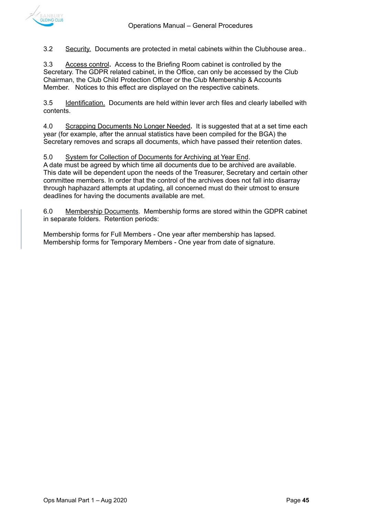

3.2 Security. Documents are protected in metal cabinets within the Clubhouse area..

3.3 Access control**.** Access to the Briefing Room cabinet is controlled by the Secretary. The GDPR related cabinet, in the Office, can only be accessed by the Club Chairman, the Club Child Protection Officer or the Club Membership & Accounts Member. Notices to this effect are displayed on the respective cabinets.

3.5 Identification. Documents are held within lever arch files and clearly labelled with contents.

4.0 Scrapping Documents No Longer Needed**.** It is suggested that at a set time each year (for example, after the annual statistics have been compiled for the BGA) the Secretary removes and scraps all documents, which have passed their retention dates.

5.0 System for Collection of Documents for Archiving at Year End.

A date must be agreed by which time all documents due to be archived are available. This date will be dependent upon the needs of the Treasurer, Secretary and certain other committee members. In order that the control of the archives does not fall into disarray through haphazard attempts at updating, all concerned must do their utmost to ensure deadlines for having the documents available are met.

6.0 Membership Documents. Membership forms are stored within the GDPR cabinet in separate folders. Retention periods:

Membership forms for Full Members - One year after membership has lapsed. Membership forms for Temporary Members - One year from date of signature.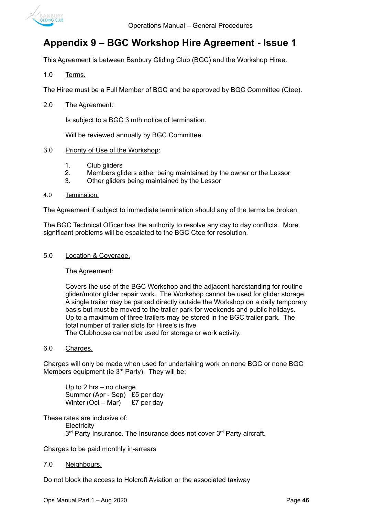

# <span id="page-45-0"></span>**Appendix 9 – BGC Workshop Hire Agreement - Issue 1**

This Agreement is between Banbury Gliding Club (BGC) and the Workshop Hiree.

1.0 Terms.

The Hiree must be a Full Member of BGC and be approved by BGC Committee (Ctee).

2.0 The Agreement:

Is subject to a BGC 3 mth notice of termination.

Will be reviewed annually by BGC Committee.

# 3.0 Priority of Use of the Workshop:

- 1. Club gliders
- 2. Members gliders either being maintained by the owner or the Lessor
- 3. Other gliders being maintained by the Lessor
- 4.0 Termination.

The Agreement if subject to immediate termination should any of the terms be broken.

The BGC Technical Officer has the authority to resolve any day to day conflicts. More significant problems will be escalated to the BGC Ctee for resolution.

5.0 Location & Coverage.

The Agreement:

Covers the use of the BGC Workshop and the adjacent hardstanding for routine glider/motor glider repair work. The Workshop cannot be used for glider storage. A single trailer may be parked directly outside the Workshop on a daily temporary basis but must be moved to the trailer park for weekends and public holidays. Up to a maximum of three trailers may be stored in the BGC trailer park. The total number of trailer slots for Hiree's is five The Clubhouse cannot be used for storage or work activity.

### 6.0 Charges.

Charges will only be made when used for undertaking work on none BGC or none BGC Members equipment (ie  $3<sup>rd</sup>$  Party). They will be:

Up to 2 hrs – no charge Summer (Apr - Sep) £5 per day Winter  $(Oct - Mar)$  £7 per day

These rates are inclusive of:

**Electricity** 

3<sup>rd</sup> Party Insurance. The Insurance does not cover 3<sup>rd</sup> Party aircraft.

Charges to be paid monthly in-arrears

### 7.0 Neighbours.

Do not block the access to Holcroft Aviation or the associated taxiway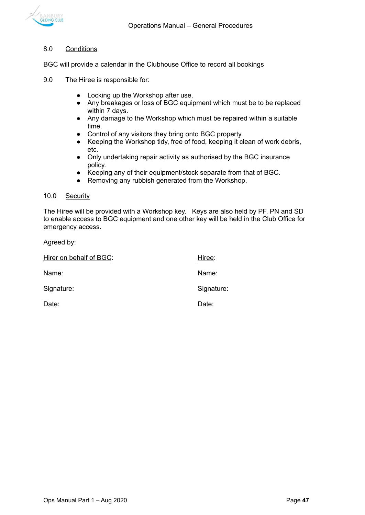

### 8.0 Conditions

BGC will provide a calendar in the Clubhouse Office to record all bookings

- 9.0 The Hiree is responsible for:
	- Locking up the Workshop after use.
	- Any breakages or loss of BGC equipment which must be to be replaced within 7 days.
	- Any damage to the Workshop which must be repaired within a suitable time.
	- Control of any visitors they bring onto BGC property.
	- Keeping the Workshop tidy, free of food, keeping it clean of work debris, etc.
	- Only undertaking repair activity as authorised by the BGC insurance policy.
	- Keeping any of their equipment/stock separate from that of BGC.
	- Removing any rubbish generated from the Workshop.

### 10.0 Security

The Hiree will be provided with a Workshop key. Keys are also held by PF, PN and SD to enable access to BGC equipment and one other key will be held in the Club Office for emergency access.

Agreed by:

| Hirer on behalf of BGC: | Hiree:     |
|-------------------------|------------|
| Name:                   | Name:      |
| Signature:              | Signature: |
| Date:                   | Date:      |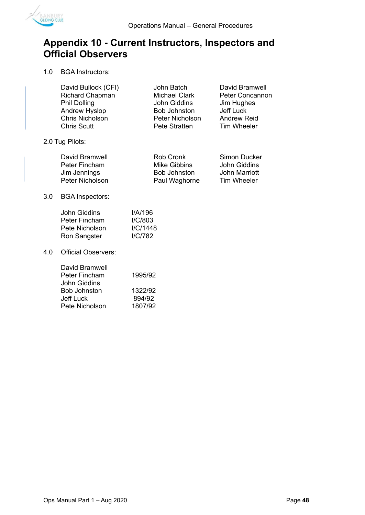

# <span id="page-47-0"></span>**Appendix 10 - Current Instructors, Inspectors and Official Observers**

1.0 BGA Instructors:

David Bullock (CFI) John Batch David Bramwell Richard Chapman Michael Clark Peter Concannon Phil Dolling **Disk Communist Communist Communist Communist Communist Communist Communist Communist Communist Communist Communist Communist Communist Communist Communist Communist Communist Communist Communist Communist Com** Andrew Hyslop Bob Johnston Jeff Luck Chris Nicholson **Peter Nicholson** Andrew Reid<br>
Pete Stratten Tim Wheeler

Pete Stratten

2.0 Tug Pilots:

| David Bramwell  | Rob Cronk           | Simon Ducker  |
|-----------------|---------------------|---------------|
| Peter Fincham   | Mike Gibbins        | John Giddins  |
| Jim Jennings    | <b>Bob Johnston</b> | John Marriott |
| Peter Nicholson | Paul Waghorne       | Tim Wheeler   |

3.0 BGA Inspectors:

| John Giddins   | I/A/196  |
|----------------|----------|
| Peter Fincham  | IC/803   |
| Pete Nicholson | I/C/1448 |
| Ron Sangster   | IC/782   |

4.0 Official Observers:

| David Bramwell       |         |
|----------------------|---------|
| <b>Peter Fincham</b> | 1995/92 |
| John Giddins         |         |
| <b>Bob Johnston</b>  | 1322/92 |
| Jeff Luck            | 894/92  |
| Pete Nicholson       | 1807/92 |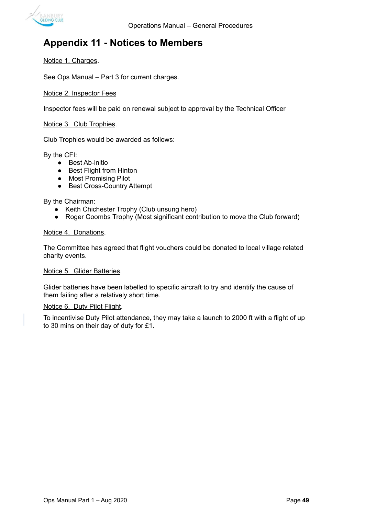

# <span id="page-48-0"></span>**Appendix 11 - Notices to Members**

Notice 1. Charges.

See Ops Manual – Part 3 for current charges.

### Notice 2. Inspector Fees

Inspector fees will be paid on renewal subject to approval by the Technical Officer

Notice 3. Club Trophies.

Club Trophies would be awarded as follows:

By the CFI:

- Best Ab-initio
- Best Flight from Hinton
- Most Promising Pilot
- Best Cross-Country Attempt

By the Chairman:

- Keith Chichester Trophy (Club unsung hero)
- Roger Coombs Trophy (Most significant contribution to move the Club forward)

#### Notice 4. Donations.

The Committee has agreed that flight vouchers could be donated to local village related charity events.

### Notice 5. Glider Batteries.

Glider batteries have been labelled to specific aircraft to try and identify the cause of them failing after a relatively short time.

### Notice 6. Duty Pilot Flight.

To incentivise Duty Pilot attendance, they may take a launch to 2000 ft with a flight of up to 30 mins on their day of duty for £1.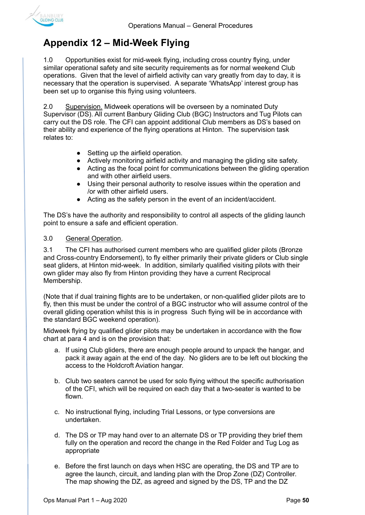

# <span id="page-49-0"></span>**Appendix 12 – Mid-Week Flying**

1.0 Opportunities exist for mid-week flying, including cross country flying, under similar operational safety and site security requirements as for normal weekend Club operations. Given that the level of airfield activity can vary greatly from day to day, it is necessary that the operation is supervised. A separate 'WhatsApp' interest group has been set up to organise this flying using volunteers.

2.0 Supervision. Midweek operations will be overseen by a nominated Duty Supervisor (DS). All current Banbury Gliding Club (BGC) Instructors and Tug Pilots can carry out the DS role. The CFI can appoint additional Club members as DS's based on their ability and experience of the flying operations at Hinton. The supervision task relates to:

- Setting up the airfield operation.
- Actively monitoring airfield activity and managing the gliding site safety.
- Acting as the focal point for communications between the gliding operation and with other airfield users.
- Using their personal authority to resolve issues within the operation and /or with other airfield users.
- Acting as the safety person in the event of an incident/accident.

The DS's have the authority and responsibility to control all aspects of the gliding launch point to ensure a safe and efficient operation.

### 3.0 General Operation.

3.1 The CFI has authorised current members who are qualified glider pilots (Bronze and Cross-country Endorsement), to fly either primarily their private gliders or Club single seat gliders, at Hinton mid-week. In addition, similarly qualified visiting pilots with their own glider may also fly from Hinton providing they have a current Reciprocal Membership.

(Note that if dual training flights are to be undertaken, or non-qualified glider pilots are to fly, then this must be under the control of a BGC instructor who will assume control of the overall gliding operation whilst this is in progress Such flying will be in accordance with the standard BGC weekend operation).

Midweek flying by qualified glider pilots may be undertaken in accordance with the flow chart at para 4 and is on the provision that:

- a. If using Club gliders, there are enough people around to unpack the hangar, and pack it away again at the end of the day. No gliders are to be left out blocking the access to the Holdcroft Aviation hangar.
- b. Club two seaters cannot be used for solo flying without the specific authorisation of the CFI, which will be required on each day that a two-seater is wanted to be flown.
- c. No instructional flying, including Trial Lessons, or type conversions are undertaken.
- d. The DS or TP may hand over to an alternate DS or TP providing they brief them fully on the operation and record the change in the Red Folder and Tug Log as appropriate
- e. Before the first launch on days when HSC are operating, the DS and TP are to agree the launch, circuit, and landing plan with the Drop Zone (DZ) Controller. The map showing the DZ, as agreed and signed by the DS, TP and the DZ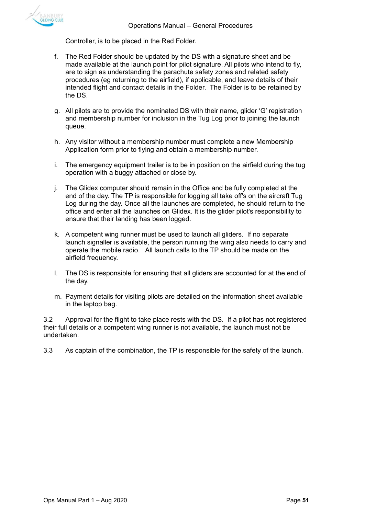Controller, is to be placed in the Red Folder.

- f. The Red Folder should be updated by the DS with a signature sheet and be made available at the launch point for pilot signature. All pilots who intend to fly, are to sign as understanding the parachute safety zones and related safety procedures (eg returning to the airfield), if applicable, and leave details of their intended flight and contact details in the Folder. The Folder is to be retained by the DS.
- g. All pilots are to provide the nominated DS with their name, glider 'G' registration and membership number for inclusion in the Tug Log prior to joining the launch queue.
- h. Any visitor without a membership number must complete a new Membership Application form prior to flying and obtain a membership number.
- i. The emergency equipment trailer is to be in position on the airfield during the tug operation with a buggy attached or close by.
- j. The Glidex computer should remain in the Office and be fully completed at the end of the day. The TP is responsible for logging all take off's on the aircraft Tug Log during the day. Once all the launches are completed, he should return to the office and enter all the launches on Glidex. It is the glider pilot's responsibility to ensure that their landing has been logged.
- k. A competent wing runner must be used to launch all gliders. If no separate launch signaller is available, the person running the wing also needs to carry and operate the mobile radio. All launch calls to the TP should be made on the airfield frequency.
- l. The DS is responsible for ensuring that all gliders are accounted for at the end of the day.
- m. Payment details for visiting pilots are detailed on the information sheet available in the laptop bag.

3.2 Approval for the flight to take place rests with the DS. If a pilot has not registered their full details or a competent wing runner is not available, the launch must not be undertaken.

3.3 As captain of the combination, the TP is responsible for the safety of the launch.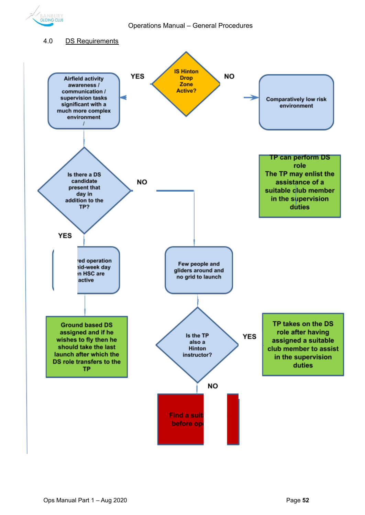